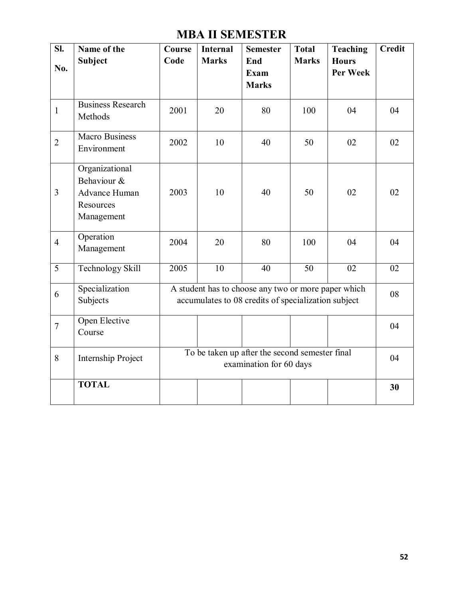# **MBA II SEMESTER**

| SI.            | Name of the<br><b>Subject</b>                                             | <b>Course</b><br>Code                                                                                      | <b>Internal</b><br><b>Marks</b> | <b>Semester</b><br>End                                                    | <b>Total</b><br><b>Marks</b> | Teaching<br><b>Hours</b> | <b>Credit</b> |
|----------------|---------------------------------------------------------------------------|------------------------------------------------------------------------------------------------------------|---------------------------------|---------------------------------------------------------------------------|------------------------------|--------------------------|---------------|
| No.            |                                                                           |                                                                                                            |                                 | Exam<br><b>Marks</b>                                                      |                              | Per Week                 |               |
| $\mathbf{1}$   | <b>Business Research</b><br>Methods                                       | 2001                                                                                                       | 20                              | 80                                                                        | 100                          | 04                       | 04            |
| $\overline{2}$ | <b>Macro Business</b><br>Environment                                      | 2002                                                                                                       | 10                              | 40                                                                        | 50                           | 02                       | 02            |
| $\overline{3}$ | Organizational<br>Behaviour &<br>Advance Human<br>Resources<br>Management | 2003                                                                                                       | 10                              | 40                                                                        | 50                           | 02                       | 02            |
| $\overline{4}$ | Operation<br>Management                                                   | 2004                                                                                                       | 20                              | 80                                                                        | 100                          | 04                       | 04            |
| $\overline{5}$ | <b>Technology Skill</b>                                                   | 2005                                                                                                       | $\overline{10}$                 | 40                                                                        | $\overline{50}$              | $\overline{02}$          | 02            |
| 6              | Specialization<br>Subjects                                                | A student has to choose any two or more paper which<br>accumulates to 08 credits of specialization subject |                                 |                                                                           |                              | 08                       |               |
| $\overline{7}$ | Open Elective<br>Course                                                   |                                                                                                            |                                 |                                                                           |                              |                          | 04            |
| 8              | Internship Project                                                        |                                                                                                            |                                 | To be taken up after the second semester final<br>examination for 60 days |                              |                          | 04            |
|                | <b>TOTAL</b>                                                              |                                                                                                            |                                 |                                                                           |                              |                          | 30            |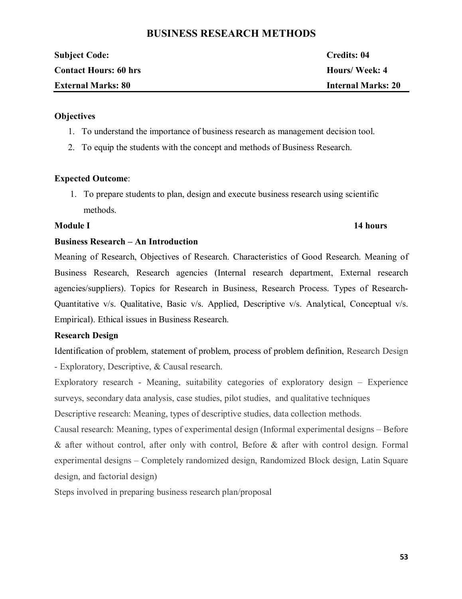# **BUSINESS RESEARCH METHODS**

| <b>Subject Code:</b>         | Credits: 04               |
|------------------------------|---------------------------|
| <b>Contact Hours: 60 hrs</b> | Hours/Week: 4             |
| <b>External Marks: 80</b>    | <b>Internal Marks: 20</b> |

# **Objectives**

- 1. To understand the importance of business research as management decision tool.
- 2. To equip the students with the concept and methods of Business Research.

# **Expected Outcome**:

1. To prepare students to plan, design and execute business research using scientific methods.

# **Module I 14 hours**

# **Business Research – An Introduction**

Meaning of Research, Objectives of Research. Characteristics of Good Research. Meaning of Business Research, Research agencies (Internal research department, External research agencies/suppliers). Topics for Research in Business, Research Process. Types of Research-Quantitative v/s. Qualitative, Basic v/s. Applied, Descriptive v/s. Analytical, Conceptual v/s. Empirical). Ethical issues in Business Research.

# **Research Design**

Identification of problem, statement of problem, process of problem definition, Research Design - Exploratory, Descriptive, & Causal research.

Exploratory research - Meaning, suitability categories of exploratory design – Experience surveys, secondary data analysis, case studies, pilot studies, and qualitative techniques

Descriptive research: Meaning, types of descriptive studies, data collection methods.

Causal research: Meaning, types of experimental design (Informal experimental designs – Before & after without control, after only with control, Before & after with control design. Formal experimental designs – Completely randomized design, Randomized Block design, Latin Square design, and factorial design)

Steps involved in preparing business research plan/proposal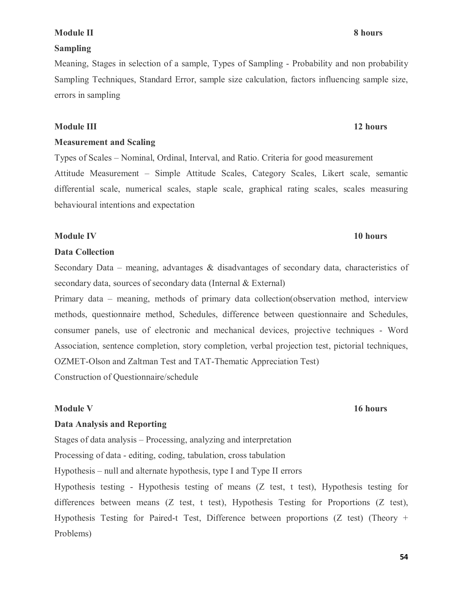## **54**

# **Module II 8 hours**

# **Sampling**

Meaning, Stages in selection of a sample, Types of Sampling - Probability and non probability Sampling Techniques, Standard Error, sample size calculation, factors influencing sample size, errors in sampling

# **Module III 12 hours**

# **Measurement and Scaling**

Types of Scales – Nominal, Ordinal, Interval, and Ratio. Criteria for good measurement Attitude Measurement – Simple Attitude Scales, Category Scales, Likert scale, semantic differential scale, numerical scales, staple scale, graphical rating scales, scales measuring behavioural intentions and expectation

# **Module IV 10 hours**

# **Data Collection**

Secondary Data – meaning, advantages  $\&$  disadvantages of secondary data, characteristics of secondary data, sources of secondary data (Internal & External)

Primary data – meaning, methods of primary data collection(observation method, interview methods, questionnaire method, Schedules, difference between questionnaire and Schedules, consumer panels, use of electronic and mechanical devices, projective techniques - Word Association, sentence completion, story completion, verbal projection test, pictorial techniques, OZMET-Olson and Zaltman Test and TAT-Thematic Appreciation Test) Construction of Questionnaire/schedule

# **Module V 16 hours**

# **Data Analysis and Reporting**

Stages of data analysis – Processing, analyzing and interpretation

Processing of data - editing, coding, tabulation, cross tabulation

Hypothesis – null and alternate hypothesis, type I and Type II errors

Hypothesis testing - Hypothesis testing of means (Z test, t test), Hypothesis testing for differences between means (Z test, t test), Hypothesis Testing for Proportions (Z test), Hypothesis Testing for Paired-t Test, Difference between proportions (Z test) (Theory + Problems)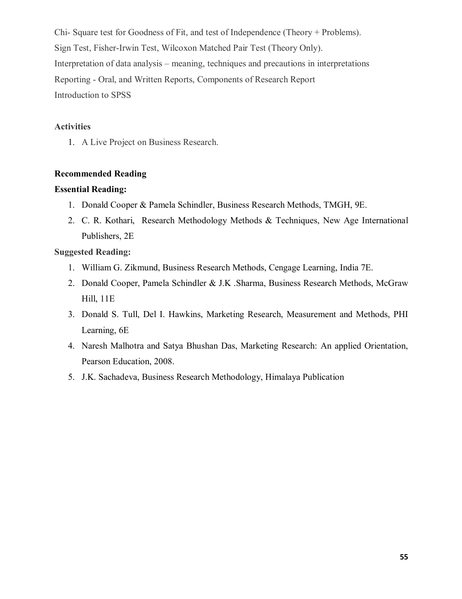Chi- Square test for Goodness of Fit, and test of Independence (Theory + Problems). Sign Test, Fisher-Irwin Test, Wilcoxon Matched Pair Test (Theory Only). Interpretation of data analysis – meaning, techniques and precautions in interpretations Reporting - Oral, and Written Reports, Components of Research Report Introduction to SPSS

# **Activities**

1. A Live Project on Business Research.

# **Recommended Reading**

# **Essential Reading:**

- 1. Donald Cooper & Pamela Schindler, Business Research Methods, TMGH, 9E.
- 2. C. R. Kothari, Research Methodology Methods & Techniques, New Age International Publishers, 2E

# **Suggested Reading:**

- 1. William G. Zikmund, Business Research Methods, Cengage Learning, India 7E.
- 2. Donald Cooper, Pamela Schindler & J.K .Sharma, Business Research Methods, McGraw Hill, 11E
- 3. Donald S. Tull, Del I. Hawkins, Marketing Research, Measurement and Methods, PHI Learning, 6E
- 4. Naresh Malhotra and Satya Bhushan Das, Marketing Research: An applied Orientation, Pearson Education, 2008.
- 5. J.K. Sachadeva, Business Research Methodology, Himalaya Publication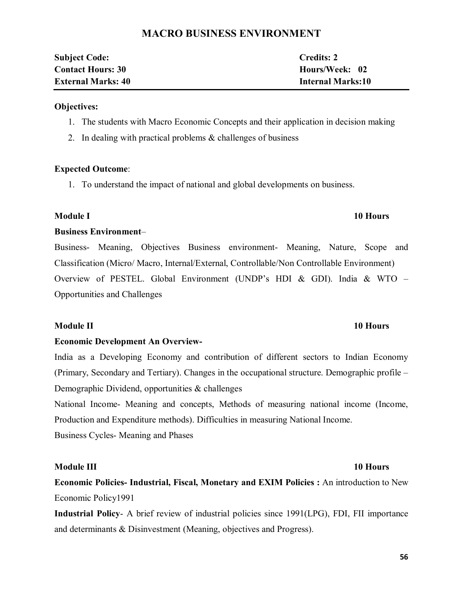# **MACRO BUSINESS ENVIRONMENT**

| <b>Subject Code:</b>      | <b>Credits: 2</b>        |
|---------------------------|--------------------------|
| <b>Contact Hours: 30</b>  | Hours/Week: 02           |
| <b>External Marks: 40</b> | <b>Internal Marks:10</b> |

# **Objectives:**

- 1. The students with Macro Economic Concepts and their application in decision making
- 2. In dealing with practical problems & challenges of business

# **Expected Outcome**:

1. To understand the impact of national and global developments on business.

# **Module I 10 Hours**

# **Business Environment**–

Business- Meaning, Objectives Business environment- Meaning, Nature, Scope and Classification (Micro/ Macro, Internal/External, Controllable/Non Controllable Environment) Overview of PESTEL. Global Environment (UNDP's HDI & GDI). India & WTO – Opportunities and Challenges

# **Module II 10 Hours**

# **Economic Development An Overview-**

India as a Developing Economy and contribution of different sectors to Indian Economy (Primary, Secondary and Tertiary). Changes in the occupational structure. Demographic profile – Demographic Dividend, opportunities & challenges

National Income- Meaning and concepts, Methods of measuring national income (Income, Production and Expenditure methods). Difficulties in measuring National Income. Business Cycles- Meaning and Phases

# **Module III 10 Hours**

**Economic Policies- Industrial, Fiscal, Monetary and EXIM Policies :** An introduction to New Economic Policy1991

**Industrial Policy**- A brief review of industrial policies since 1991(LPG), FDI, FII importance and determinants & Disinvestment (Meaning, objectives and Progress).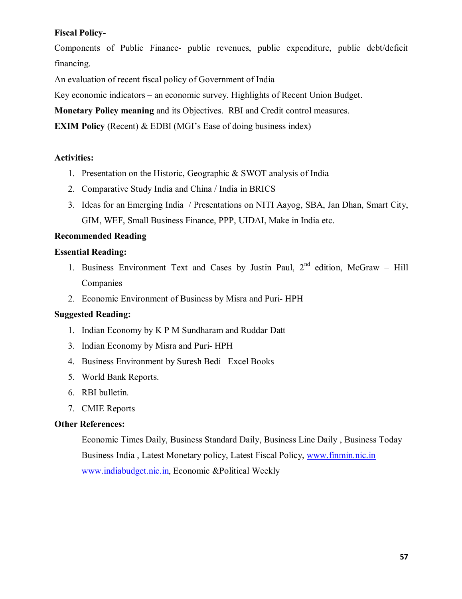# **Fiscal Policy-**

Components of Public Finance- public revenues, public expenditure, public debt/deficit financing.

An evaluation of recent fiscal policy of Government of India

Key economic indicators – an economic survey. Highlights of Recent Union Budget.

**Monetary Policy meaning** and its Objectives. RBI and Credit control measures.

**EXIM Policy** (Recent) & EDBI (MGI's Ease of doing business index)

# **Activities:**

- 1. Presentation on the Historic, Geographic & SWOT analysis of India
- 2. Comparative Study India and China / India in BRICS
- 3. Ideas for an Emerging India / Presentations on NITI Aayog, SBA, Jan Dhan, Smart City, GIM, WEF, Small Business Finance, PPP, UIDAI, Make in India etc.

# **Recommended Reading**

# **Essential Reading:**

- 1. Business Environment Text and Cases by Justin Paul,  $2<sup>nd</sup>$  edition, McGraw Hill Companies
- 2. Economic Environment of Business by Misra and Puri- HPH

# **Suggested Reading:**

- 1. Indian Economy by K P M Sundharam and Ruddar Datt
- 3. Indian Economy by Misra and Puri- HPH
- 4. Business Environment by Suresh Bedi –Excel Books
- 5. World Bank Reports.
- 6. RBI bulletin.
- 7. CMIE Reports

# **Other References:**

Economic Times Daily, Business Standard Daily, Business Line Daily , Business Today Business India , Latest Monetary policy, Latest Fiscal Policy, www.finmin.nic.in www.indiabudget.nic.in, Economic &Political Weekly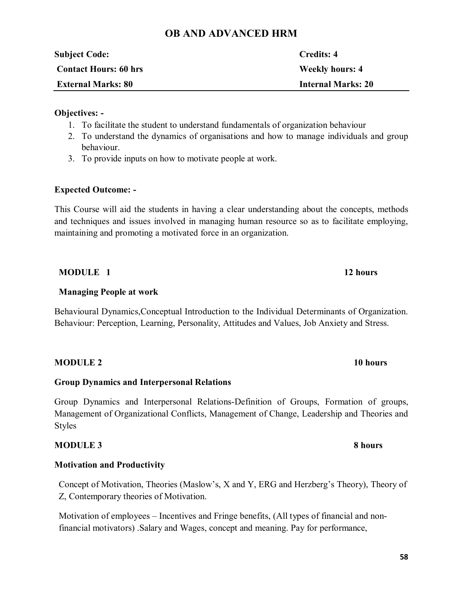# **OB AND ADVANCED HRM**

| <b>Subject Code:</b>         | Credits: 4                |
|------------------------------|---------------------------|
| <b>Contact Hours: 60 hrs</b> | <b>Weekly hours: 4</b>    |
| <b>External Marks: 80</b>    | <b>Internal Marks: 20</b> |
|                              |                           |

# **Objectives: -**

- 1. To facilitate the student to understand fundamentals of organization behaviour
- 2. To understand the dynamics of organisations and how to manage individuals and group behaviour.
- 3. To provide inputs on how to motivate people at work.

# **Expected Outcome: -**

This Course will aid the students in having a clear understanding about the concepts, methods and techniques and issues involved in managing human resource so as to facilitate employing, maintaining and promoting a motivated force in an organization.

# **MODULE 1 12 hours**

# **Managing People at work**

Behavioural Dynamics,Conceptual Introduction to the Individual Determinants of Organization. Behaviour: Perception, Learning, Personality, Attitudes and Values, Job Anxiety and Stress.

**MODULE 2 10 hours**

# **Group Dynamics and Interpersonal Relations**

Group Dynamics and Interpersonal Relations-Definition of Groups, Formation of groups, Management of Organizational Conflicts, Management of Change, Leadership and Theories and Styles

# **MODULE 3 8 hours**

# **Motivation and Productivity**

Concept of Motivation, Theories (Maslow's, X and Y, ERG and Herzberg's Theory), Theory of Z, Contemporary theories of Motivation.

Motivation of employees – Incentives and Fringe benefits, (All types of financial and nonfinancial motivators) .Salary and Wages, concept and meaning. Pay for performance,

# **58**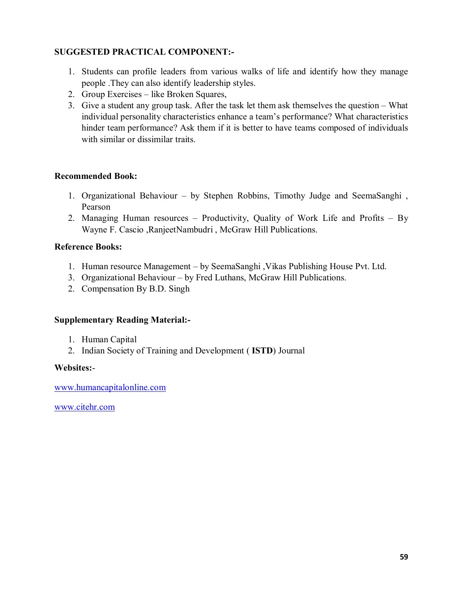# **SUGGESTED PRACTICAL COMPONENT:-**

- 1. Students can profile leaders from various walks of life and identify how they manage people .They can also identify leadership styles.
- 2. Group Exercises like Broken Squares,
- 3. Give a student any group task. After the task let them ask themselves the question What individual personality characteristics enhance a team's performance? What characteristics hinder team performance? Ask them if it is better to have teams composed of individuals with similar or dissimilar traits.

# **Recommended Book:**

- 1. Organizational Behaviour by Stephen Robbins, Timothy Judge and SeemaSanghi , Pearson
- 2. Managing Human resources Productivity, Quality of Work Life and Profits By Wayne F. Cascio ,RanjeetNambudri , McGraw Hill Publications.

# **Reference Books:**

- 1. Human resource Management by SeemaSanghi ,Vikas Publishing House Pvt. Ltd.
- 3. Organizational Behaviour by Fred Luthans, McGraw Hill Publications.
- 2. Compensation By B.D. Singh

# **Supplementary Reading Material:-**

- 1. Human Capital
- 2. Indian Society of Training and Development ( **ISTD**) Journal

# **Websites:**-

www.humancapitalonline.com

www.citehr.com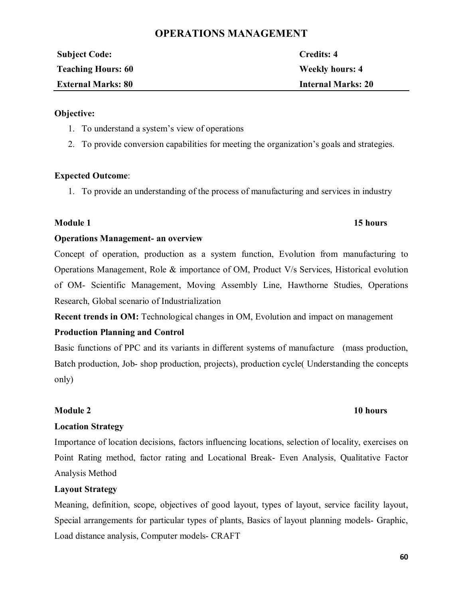# **OPERATIONS MANAGEMENT**

| <b>Subject Code:</b>      | Credits: 4                |
|---------------------------|---------------------------|
| <b>Teaching Hours: 60</b> | <b>Weekly hours: 4</b>    |
| <b>External Marks: 80</b> | <b>Internal Marks: 20</b> |

# **Objective:**

- 1. To understand a system's view of operations
- 2. To provide conversion capabilities for meeting the organization's goals and strategies.

# **Expected Outcome**:

1. To provide an understanding of the process of manufacturing and services in industry

# **Module 1 15 hours**

# **Operations Management- an overview**

Concept of operation, production as a system function, Evolution from manufacturing to Operations Management, Role & importance of OM, Product V/s Services, Historical evolution of OM- Scientific Management, Moving Assembly Line, Hawthorne Studies, Operations Research, Global scenario of Industrialization

**Recent trends in OM:** Technological changes in OM, Evolution and impact on management

# **Production Planning and Control**

Basic functions of PPC and its variants in different systems of manufacture (mass production, Batch production, Job- shop production, projects), production cycle( Understanding the concepts only)

# **Module 2 10 hours**

# **Location Strategy**

Importance of location decisions, factors influencing locations, selection of locality, exercises on Point Rating method, factor rating and Locational Break- Even Analysis, Qualitative Factor Analysis Method

# **Layout Strategy**

Meaning, definition, scope, objectives of good layout, types of layout, service facility layout, Special arrangements for particular types of plants, Basics of layout planning models- Graphic, Load distance analysis, Computer models- CRAFT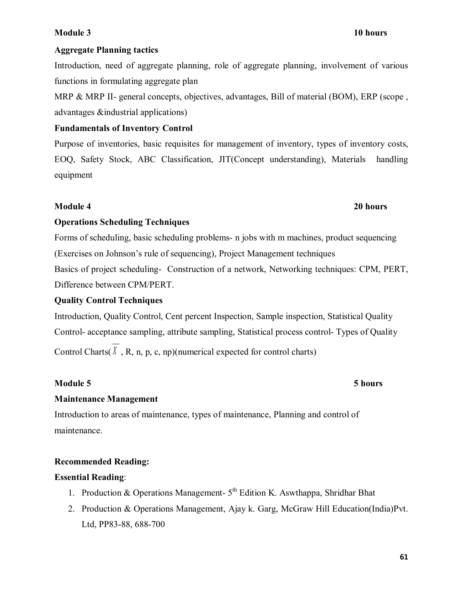# **Module 3 10 hours**

# **Aggregate Planning tactics**

Introduction, need of aggregate planning, role of aggregate planning, involvement of various functions in formulating aggregate plan

MRP & MRP II- general concepts, objectives, advantages, Bill of material (BOM), ERP (scope, advantages &industrial applications)

# **Fundamentals of Inventory Control**

Purpose of inventories, basic requisites for management of inventory, types of inventory costs, EOQ, Safety Stock, ABC Classification, JIT(Concept understanding), Materials handling equipment

# **Module 4 20 hours**

# **Operations Scheduling Techniques**

Forms of scheduling, basic scheduling problems- n jobs with m machines, product sequencing (Exercises on Johnson's rule of sequencing), Project Management techniques

Basics of project scheduling- Construction of a network, Networking techniques: CPM, PERT, Difference between CPM/PERT.

# **Quality Control Techniques**

Introduction, Quality Control, Cent percent Inspection, Sample inspection, Statistical Quality Control- acceptance sampling, attribute sampling, Statistical process control- Types of Quality Control Charts( $\hat{X}$ , R, n, p, c, np)(numerical expected for control charts)

# **Module 5 5 hours**

# **Maintenance Management**

Introduction to areas of maintenance, types of maintenance, Planning and control of maintenance.

# **Recommended Reading:**

# **Essential Reading**:

- 1. Production & Operations Management-  $5<sup>th</sup>$  Edition K. Aswthappa, Shridhar Bhat
- 2. Production & Operations Management, Ajay k. Garg, McGraw Hill Education(India)Pvt. Ltd, PP83-88, 688-700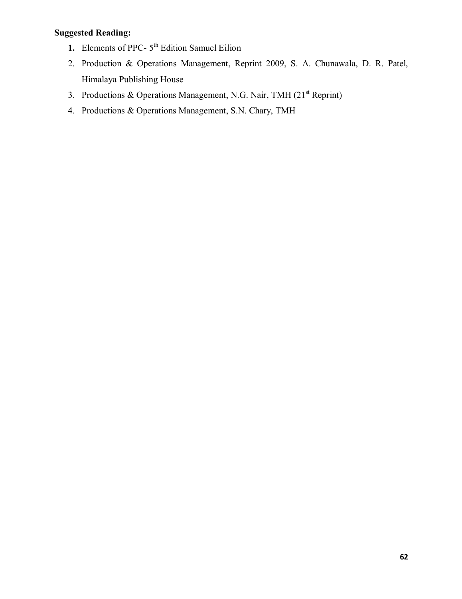# **Suggested Reading:**

- 1. Elements of PPC- 5<sup>th</sup> Edition Samuel Eilion
- 2. Production & Operations Management, Reprint 2009, S. A. Chunawala, D. R. Patel, Himalaya Publishing House
- 3. Productions & Operations Management, N.G. Nair, TMH  $(21<sup>st</sup>$  Reprint)
- 4. Productions & Operations Management, S.N. Chary, TMH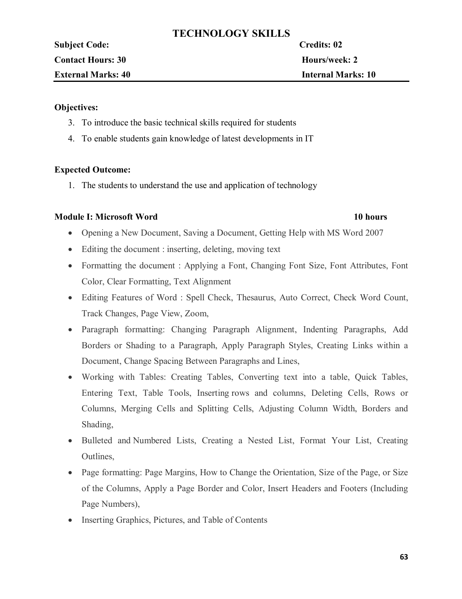# **TECHNOLOGY SKILLS**

| <b>Subject Code:</b>      | Credits: 02               |
|---------------------------|---------------------------|
| <b>Contact Hours: 30</b>  | <b>Hours/week: 2</b>      |
| <b>External Marks: 40</b> | <b>Internal Marks: 10</b> |
|                           |                           |

# **Objectives:**

- 3. To introduce the basic technical skills required for students
- 4. To enable students gain knowledge of latest developments in IT

# **Expected Outcome:**

1. The students to understand the use and application of technology

# **Module I: Microsoft Word 10 hours**

- Opening a New Document, Saving a Document, Getting Help with MS Word 2007
- Editing the document : inserting, deleting, moving text
- Formatting the document : Applying a Font, Changing Font Size, Font Attributes, Font Color, Clear Formatting, Text Alignment
- Editing Features of Word : Spell Check, Thesaurus, Auto Correct, Check Word Count, Track Changes, Page View, Zoom,
- · Paragraph formatting: Changing Paragraph Alignment, Indenting Paragraphs, Add Borders or Shading to a Paragraph, Apply Paragraph Styles, Creating Links within a Document, Change Spacing Between Paragraphs and Lines,
- · Working with Tables: Creating Tables, Converting text into a table, Quick Tables, Entering Text, Table Tools, Inserting rows and columns, Deleting Cells, Rows or Columns, Merging Cells and Splitting Cells, Adjusting Column Width, Borders and Shading,
- · Bulleted and Numbered Lists, Creating a Nested List, Format Your List, Creating Outlines,
- Page formatting: Page Margins, How to Change the Orientation, Size of the Page, or Size of the Columns, Apply a Page Border and Color, Insert Headers and Footers (Including Page Numbers),
- Inserting Graphics, Pictures, and Table of Contents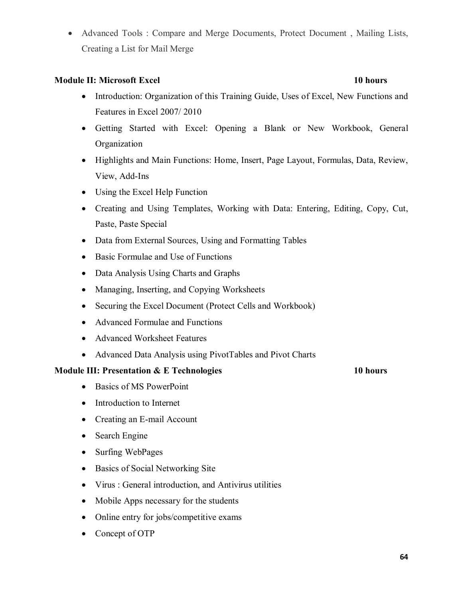· Advanced Tools : Compare and Merge Documents, Protect Document , Mailing Lists, Creating a List for Mail Merge

# **Module II: Microsoft Excel 10 hours**

- Introduction: Organization of this Training Guide, Uses of Excel, New Functions and Features in Excel 2007/ 2010
- · Getting Started with Excel: Opening a Blank or New Workbook, General Organization
- · Highlights and Main Functions: Home, Insert, Page Layout, Formulas, Data, Review, View, Add-Ins
- Using the Excel Help Function
- · Creating and Using Templates, Working with Data: Entering, Editing, Copy, Cut, Paste, Paste Special
- Data from External Sources, Using and Formatting Tables
- · Basic Formulae and Use of Functions
- · Data Analysis Using Charts and Graphs
- Managing, Inserting, and Copying Worksheets
- Securing the Excel Document (Protect Cells and Workbook)
- Advanced Formulae and Functions
- · Advanced Worksheet Features
- · Advanced Data Analysis using PivotTables and Pivot Charts

# **Module III: Presentation & E Technologies 10 hours**

- Basics of MS PowerPoint
- Introduction to Internet
- Creating an E-mail Account
- Search Engine
- Surfing WebPages
- Basics of Social Networking Site
- · Virus : General introduction, and Antivirus utilities
- Mobile Apps necessary for the students
- Online entry for jobs/competitive exams
- Concept of OTP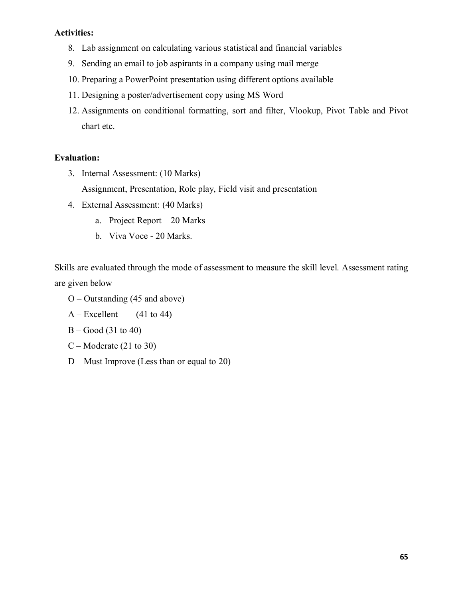# **Activities:**

- 8. Lab assignment on calculating various statistical and financial variables
- 9. Sending an email to job aspirants in a company using mail merge
- 10. Preparing a PowerPoint presentation using different options available
- 11. Designing a poster/advertisement copy using MS Word
- 12. Assignments on conditional formatting, sort and filter, Vlookup, Pivot Table and Pivot chart etc.

# **Evaluation:**

3. Internal Assessment: (10 Marks)

Assignment, Presentation, Role play, Field visit and presentation

- 4. External Assessment: (40 Marks)
	- a. Project Report 20 Marks
	- b. Viva Voce 20 Marks.

Skills are evaluated through the mode of assessment to measure the skill level. Assessment rating are given below

- O Outstanding (45 and above)
- $A Excellent$  (41 to 44)
- B Good (31 to 40)
- $C -$ Moderate (21 to 30)
- D Must Improve (Less than or equal to 20)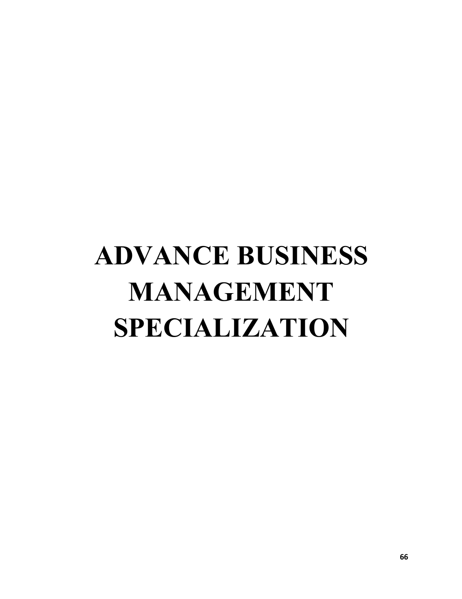# **ADVANCE BUSINESS MANAGEMENT SPECIALIZATION**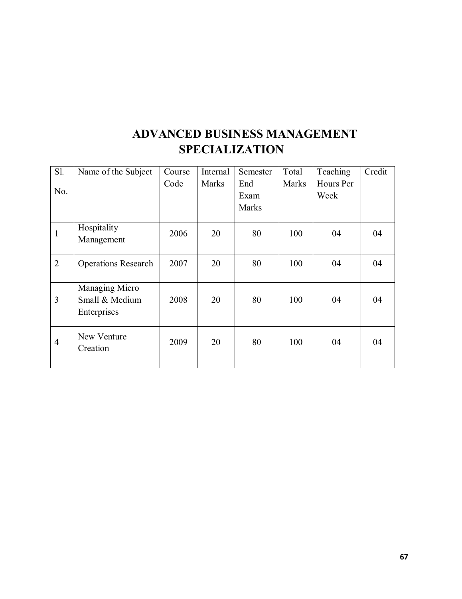# **ADVANCED BUSINESS MANAGEMENT SPECIALIZATION**

| $S1$ .         | Name of the Subject        | Course | Internal     | Semester | Total        | Teaching  | Credit |
|----------------|----------------------------|--------|--------------|----------|--------------|-----------|--------|
|                |                            | Code   | <b>Marks</b> | End      | <b>Marks</b> | Hours Per |        |
| No.            |                            |        |              | Exam     |              | Week      |        |
|                |                            |        |              | Marks    |              |           |        |
|                | Hospitality                |        |              |          |              |           |        |
| 1              | Management                 | 2006   | 20           | 80       | 100          | 04        | 04     |
| $\overline{2}$ | <b>Operations Research</b> | 2007   | 20           | 80       | 100          | 04        | 04     |
|                | Managing Micro             |        |              |          |              |           |        |
| 3              | Small & Medium             | 2008   | 20           | 80       | 100          | 04        | 04     |
|                | Enterprises                |        |              |          |              |           |        |
| $\overline{4}$ | New Venture                | 2009   | 20           | 80       | 100          | 04        | 04     |
|                | Creation                   |        |              |          |              |           |        |
|                |                            |        |              |          |              |           |        |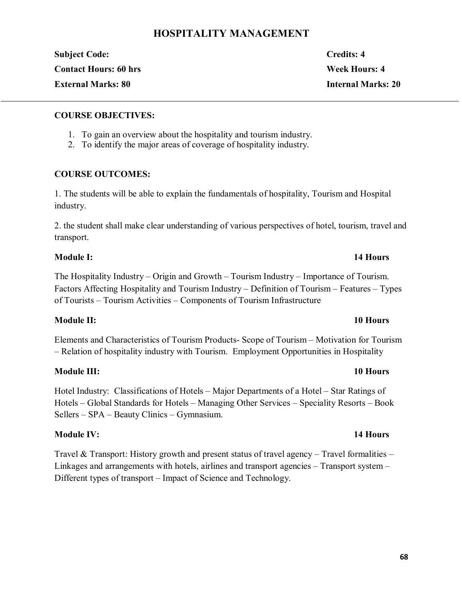# **HOSPITALITY MANAGEMENT**

| <b>Subject Code:</b>         | Credits: 4                |
|------------------------------|---------------------------|
| <b>Contact Hours: 60 hrs</b> | Week Hours: 4             |
| <b>External Marks: 80</b>    | <b>Internal Marks: 20</b> |

# **COURSE OBJECTIVES:**

- 1. To gain an overview about the hospitality and tourism industry.
- 2. To identify the major areas of coverage of hospitality industry.

# **COURSE OUTCOMES:**

1. The students will be able to explain the fundamentals of hospitality, Tourism and Hospital industry.

2. the student shall make clear understanding of various perspectives of hotel, tourism, travel and transport.

# **Module I: 14 Hours**

The Hospitality Industry – Origin and Growth – Tourism Industry – Importance of Tourism. Factors Affecting Hospitality and Tourism Industry – Definition of Tourism – Features – Types of Tourists – Tourism Activities – Components of Tourism Infrastructure

# **Module II: 10 Hours**

Elements and Characteristics of Tourism Products- Scope of Tourism – Motivation for Tourism – Relation of hospitality industry with Tourism. Employment Opportunities in Hospitality

# **Module III: 10 Hours**

Hotel Industry: Classifications of Hotels – Major Departments of a Hotel – Star Ratings of Hotels – Global Standards for Hotels – Managing Other Services – Speciality Resorts – Book Sellers – SPA – Beauty Clinics – Gymnasium.

# **Module IV: 14 Hours**

Travel & Transport: History growth and present status of travel agency – Travel formalities – Linkages and arrangements with hotels, airlines and transport agencies – Transport system – Different types of transport – Impact of Science and Technology.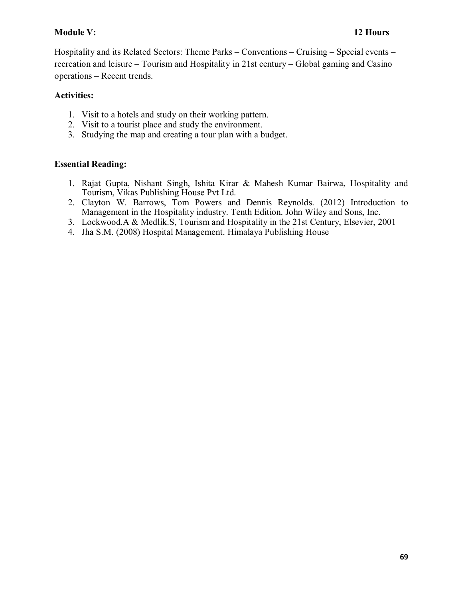# **Module V: 12 Hours**

Hospitality and its Related Sectors: Theme Parks – Conventions – Cruising – Special events – recreation and leisure – Tourism and Hospitality in 21st century – Global gaming and Casino operations – Recent trends.

# **Activities:**

- 1. Visit to a hotels and study on their working pattern.
- 2. Visit to a tourist place and study the environment.
- 3. Studying the map and creating a tour plan with a budget.

# **Essential Reading:**

- 1. Rajat Gupta, Nishant Singh, Ishita Kirar & Mahesh Kumar Bairwa, Hospitality and Tourism, Vikas Publishing House Pvt Ltd.
- 2. Clayton W. Barrows, Tom Powers and Dennis Reynolds. (2012) Introduction to Management in the Hospitality industry. Tenth Edition. John Wiley and Sons, Inc.
- 3. Lockwood.A & Medlik.S, Tourism and Hospitality in the 21st Century, Elsevier, 2001
- 4. Jha S.M. (2008) Hospital Management. Himalaya Publishing House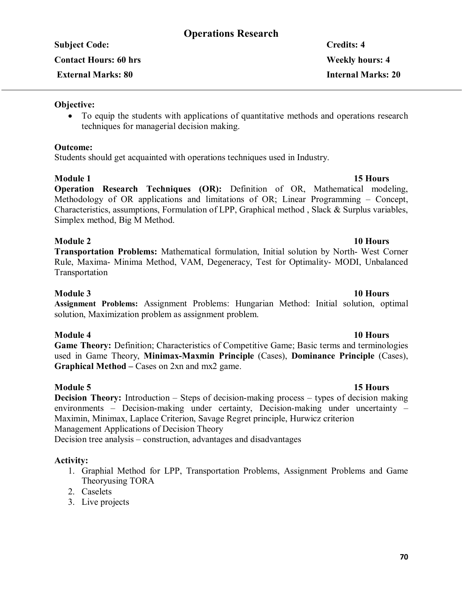# **Operations Research**

**Contact Hours: 60 hrs Weekly hours: 4**

# **Objective:**

• To equip the students with applications of quantitative methods and operations research techniques for managerial decision making.

# **Outcome:**

Students should get acquainted with operations techniques used in Industry.

# **Module 1** 15 Hours

**Operation Research Techniques (OR):** Definition of OR, Mathematical modeling, Methodology of OR applications and limitations of OR; Linear Programming – Concept, Characteristics, assumptions, Formulation of LPP, Graphical method , Slack & Surplus variables, Simplex method, Big M Method.

# **Module 2 10 Hours**

**Transportation Problems:** Mathematical formulation, Initial solution by North- West Corner Rule, Maxima- Minima Method, VAM, Degeneracy, Test for Optimality- MODI, Unbalanced Transportation

# **Module 3 10 Hours**

**Assignment Problems:** Assignment Problems: Hungarian Method: Initial solution, optimal solution, Maximization problem as assignment problem.

# **Module 4 10 Hours**

**Game Theory:** Definition; Characteristics of Competitive Game; Basic terms and terminologies used in Game Theory, **Minimax-Maxmin Principle** (Cases), **Dominance Principle** (Cases), **Graphical Method –** Cases on 2xn and mx2 game.

# **Module 5** 15 Hours

**Decision Theory:** Introduction – Steps of decision-making process – types of decision making environments – Decision-making under certainty, Decision-making under uncertainty – Maximin, Minimax, Laplace Criterion, Savage Regret principle, Hurwicz criterion Management Applications of Decision Theory Decision tree analysis – construction, advantages and disadvantages

# **Activity:**

- 1. Graphial Method for LPP, Transportation Problems, Assignment Problems and Game Theoryusing TORA
- 2. Caselets
- 3. Live projects

# **Subject Code: Credits: 4 External Marks: 80 Internal Marks: 20**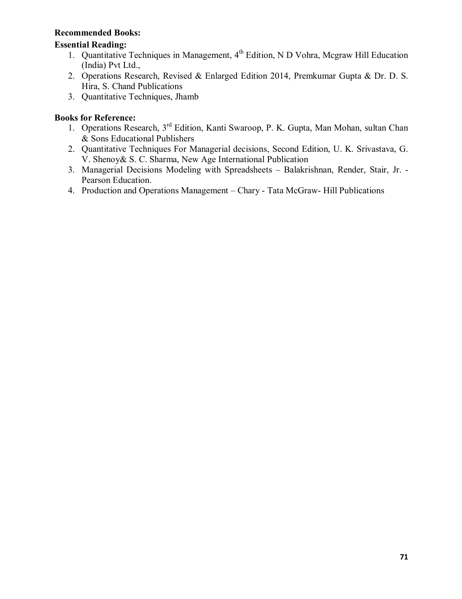# **Recommended Books:**

# **Essential Reading:**

- 1. Quantitative Techniques in Management, 4<sup>th</sup> Edition, N D Vohra, Mcgraw Hill Education (India) Pvt Ltd.,
- 2. Operations Research, Revised & Enlarged Edition 2014, Premkumar Gupta & Dr. D. S. Hira, S. Chand Publications
- 3. Quantitative Techniques, Jhamb

# **Books for Reference:**

- 1. Operations Research, 3<sup>rd</sup> Edition, Kanti Swaroop, P. K. Gupta, Man Mohan, sultan Chan & Sons Educational Publishers
- 2. Quantitative Techniques For Managerial decisions, Second Edition, U. K. Srivastava, G. V. Shenoy& S. C. Sharma, New Age International Publication
- 3. Managerial Decisions Modeling with Spreadsheets Balakrishnan, Render, Stair, Jr. Pearson Education.
- 4. Production and Operations Management Chary Tata McGraw- Hill Publications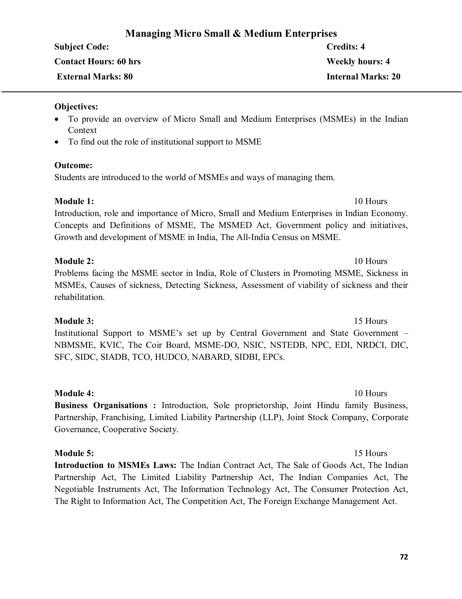# **Managing Micro Small & Medium Enterprises**

| <b>Subject Code:</b>         | <b>Credits: 4</b>         |
|------------------------------|---------------------------|
| <b>Contact Hours: 60 hrs</b> | <b>Weekly hours: 4</b>    |
| <b>External Marks: 80</b>    | <b>Internal Marks: 20</b> |

# **Objectives:**

- · To provide an overview of Micro Small and Medium Enterprises (MSMEs) in the Indian Context
- To find out the role of institutional support to MSME

# **Outcome:**

Students are introduced to the world of MSMEs and ways of managing them.

# **Module 1:** 10 Hours

Introduction, role and importance of Micro, Small and Medium Enterprises in Indian Economy. Concepts and Definitions of MSME, The MSMED Act, Government policy and initiatives, Growth and development of MSME in India, The All-India Census on MSME.

# **Module 2:** 10 Hours

Problems facing the MSME sector in India, Role of Clusters in Promoting MSME, Sickness in MSMEs, Causes of sickness, Detecting Sickness, Assessment of viability of sickness and their rehabilitation.

# **Module 3:** 15 Hours

Institutional Support to MSME's set up by Central Government and State Government – NBMSME, KVIC, The Coir Board, MSME-DO, NSIC, NSTEDB, NPC, EDI, NRDCI, DIC, SFC, SIDC, SIADB, TCO, HUDCO, NABARD, SIDBI, EPCs.

**Module 4:** 10 Hours **Business Organisations :** Introduction, Sole proprietorship, Joint Hindu family Business, Partnership, Franchising, Limited Liability Partnership (LLP), Joint Stock Company, Corporate Governance, Cooperative Society.

# **Module 5:** 15 Hours

**Introduction to MSMEs Laws:** The Indian Contract Act, The Sale of Goods Act, The Indian Partnership Act, The Limited Liability Partnership Act, The Indian Companies Act, The Negotiable Instruments Act, The Information Technology Act, The Consumer Protection Act, The Right to Information Act, The Competition Act, The Foreign Exchange Management Act.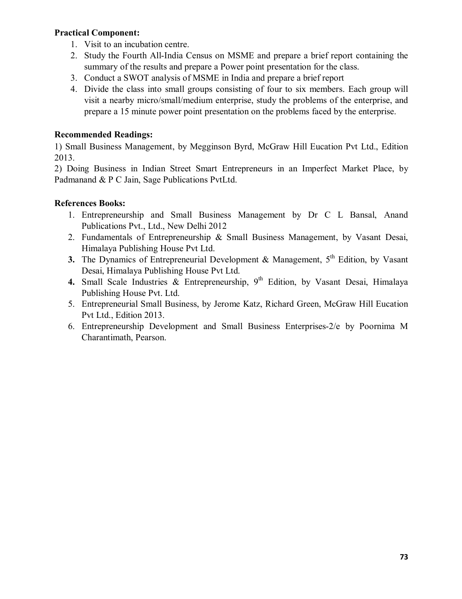# **Practical Component:**

- 1. Visit to an incubation centre.
- 2. Study the Fourth All-India Census on MSME and prepare a brief report containing the summary of the results and prepare a Power point presentation for the class.
- 3. Conduct a SWOT analysis of MSME in India and prepare a brief report
- 4. Divide the class into small groups consisting of four to six members. Each group will visit a nearby micro/small/medium enterprise, study the problems of the enterprise, and prepare a 15 minute power point presentation on the problems faced by the enterprise.

# **Recommended Readings:**

1) Small Business Management, by Megginson Byrd, McGraw Hill Eucation Pvt Ltd., Edition 2013.

2) Doing Business in Indian Street Smart Entrepreneurs in an Imperfect Market Place, by Padmanand & P C Jain, Sage Publications PvtLtd.

# **References Books:**

- 1. Entrepreneurship and Small Business Management by Dr C L Bansal, Anand Publications Pvt., Ltd., New Delhi 2012
- 2. Fundamentals of Entrepreneurship & Small Business Management, by Vasant Desai, Himalaya Publishing House Pvt Ltd.
- **3.** The Dynamics of Entrepreneurial Development  $\&$  Management,  $5<sup>th</sup>$  Edition, by Vasant Desai, Himalaya Publishing House Pvt Ltd.
- 4. Small Scale Industries & Entrepreneurship, 9<sup>th</sup> Edition, by Vasant Desai, Himalaya Publishing House Pvt. Ltd.
- 5. Entrepreneurial Small Business, by Jerome Katz, Richard Green, McGraw Hill Eucation Pvt Ltd., Edition 2013.
- 6. Entrepreneurship Development and Small Business Enterprises-2/e by Poornima M Charantimath, Pearson.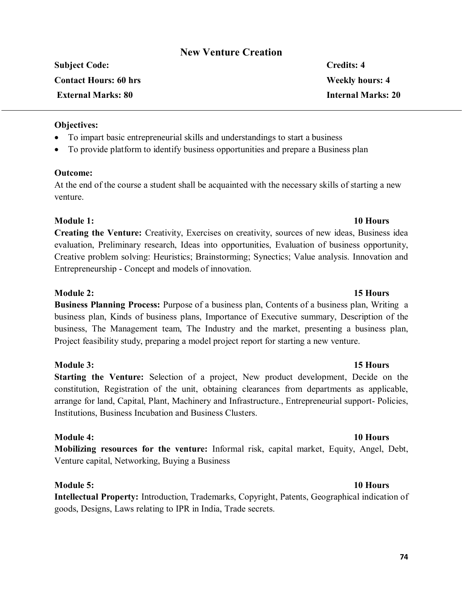# **New Venture Creation**

| <b>Subject Code:</b>         | <b>Credits: 4</b>         |
|------------------------------|---------------------------|
| <b>Contact Hours: 60 hrs</b> | <b>Weekly hours: 4</b>    |
| <b>External Marks: 80</b>    | <b>Internal Marks: 20</b> |
|                              |                           |

# **Objectives:**

- · To impart basic entrepreneurial skills and understandings to start a business
- · To provide platform to identify business opportunities and prepare a Business plan

# **Outcome:**

At the end of the course a student shall be acquainted with the necessary skills of starting a new venture.

# **Module 1: 10 Hours**

**Creating the Venture:** Creativity, Exercises on creativity, sources of new ideas, Business idea evaluation, Preliminary research, Ideas into opportunities, Evaluation of business opportunity, Creative problem solving: Heuristics; Brainstorming; Synectics; Value analysis. Innovation and Entrepreneurship - Concept and models of innovation.

# **Module 2: 15 Hours**

**Business Planning Process:** Purpose of a business plan, Contents of a business plan, Writing a business plan, Kinds of business plans, Importance of Executive summary, Description of the business, The Management team, The Industry and the market, presenting a business plan, Project feasibility study, preparing a model project report for starting a new venture.

# **Module 3: 15 Hours**

**Starting the Venture:** Selection of a project, New product development, Decide on the constitution, Registration of the unit, obtaining clearances from departments as applicable, arrange for land, Capital, Plant, Machinery and Infrastructure., Entrepreneurial support- Policies, Institutions, Business Incubation and Business Clusters.

# **Module 4: 10 Hours**

**Mobilizing resources for the venture:** Informal risk, capital market, Equity, Angel, Debt, Venture capital, Networking, Buying a Business

# **Module 5: 10 Hours**

**Intellectual Property:** Introduction, Trademarks, Copyright, Patents, Geographical indication of goods, Designs, Laws relating to IPR in India, Trade secrets.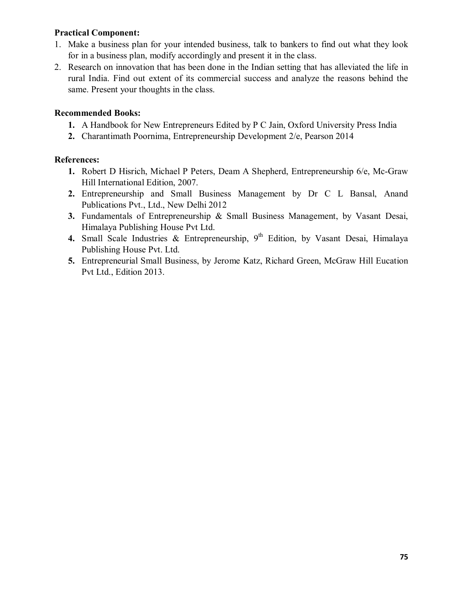# **Practical Component:**

- 1. Make a business plan for your intended business, talk to bankers to find out what they look for in a business plan, modify accordingly and present it in the class.
- 2. Research on innovation that has been done in the Indian setting that has alleviated the life in rural India. Find out extent of its commercial success and analyze the reasons behind the same. Present your thoughts in the class.

# **Recommended Books:**

- **1.** A Handbook for New Entrepreneurs Edited by P C Jain, Oxford University Press India
- **2.** Charantimath Poornima, Entrepreneurship Development 2/e, Pearson 2014

# **References:**

- **1.** Robert D Hisrich, Michael P Peters, Deam A Shepherd, Entrepreneurship 6/e, Mc-Graw Hill International Edition, 2007.
- **2.** Entrepreneurship and Small Business Management by Dr C L Bansal, Anand Publications Pvt., Ltd., New Delhi 2012
- **3.** Fundamentals of Entrepreneurship & Small Business Management, by Vasant Desai, Himalaya Publishing House Pvt Ltd.
- 4. Small Scale Industries & Entrepreneurship, 9<sup>th</sup> Edition, by Vasant Desai, Himalaya Publishing House Pvt. Ltd.
- **5.** Entrepreneurial Small Business, by Jerome Katz, Richard Green, McGraw Hill Eucation Pvt Ltd., Edition 2013.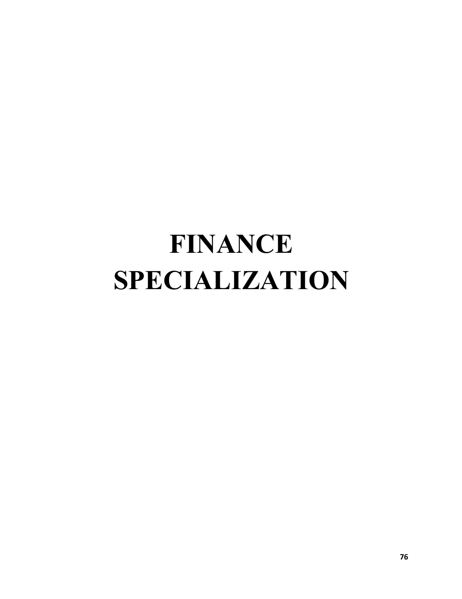# **FINANCE SPECIALIZATION**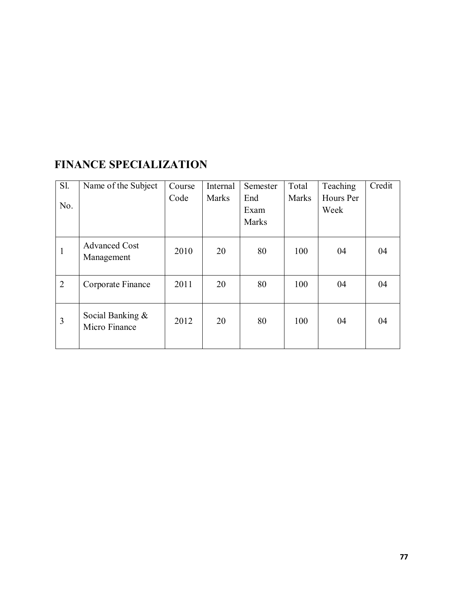# **FINANCE SPECIALIZATION**

| <b>S1.</b>     | Name of the Subject                  | Course | Internal     | Semester     | Total        | Teaching  | Credit |
|----------------|--------------------------------------|--------|--------------|--------------|--------------|-----------|--------|
|                |                                      | Code   | <b>Marks</b> | End          | <b>Marks</b> | Hours Per |        |
| No.            |                                      |        |              | Exam         |              | Week      |        |
|                |                                      |        |              | <b>Marks</b> |              |           |        |
|                |                                      |        |              |              |              |           |        |
| 1              | <b>Advanced Cost</b><br>Management   | 2010   | 20           | 80           | 100          | 04        | 04     |
|                |                                      |        |              |              |              |           |        |
| $\overline{2}$ | Corporate Finance                    | 2011   | 20           | 80           | 100          | 04        | 04     |
|                |                                      |        |              |              |              |           |        |
| 3              | Social Banking $\&$<br>Micro Finance | 2012   | 20           | 80           | 100          | 04        | 04     |
|                |                                      |        |              |              |              |           |        |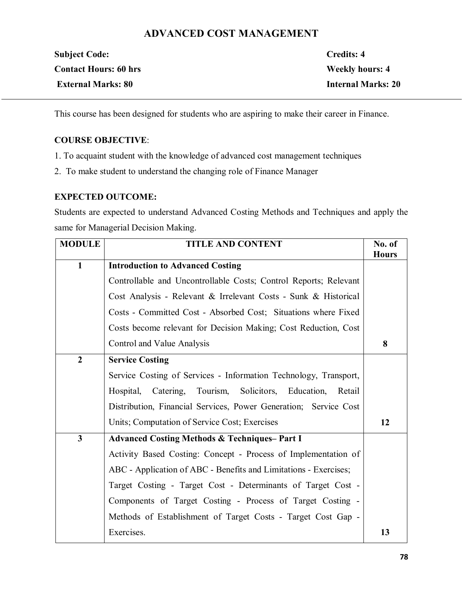# **ADVANCED COST MANAGEMENT**

| <b>Subject Code:</b>         | Credits: 4                |
|------------------------------|---------------------------|
| <b>Contact Hours: 60 hrs</b> | <b>Weekly hours: 4</b>    |
| <b>External Marks: 80</b>    | <b>Internal Marks: 20</b> |

This course has been designed for students who are aspiring to make their career in Finance.

# **COURSE OBJECTIVE**:

- 1. To acquaint student with the knowledge of advanced cost management techniques
- 2. To make student to understand the changing role of Finance Manager

# **EXPECTED OUTCOME:**

Students are expected to understand Advanced Costing Methods and Techniques and apply the same for Managerial Decision Making.

| <b>MODULE</b>    | <b>TITLE AND CONTENT</b>                                         | No. of<br><b>Hours</b> |
|------------------|------------------------------------------------------------------|------------------------|
| $\mathbf{1}$     | <b>Introduction to Advanced Costing</b>                          |                        |
|                  | Controllable and Uncontrollable Costs; Control Reports; Relevant |                        |
|                  | Cost Analysis - Relevant & Irrelevant Costs - Sunk & Historical  |                        |
|                  | Costs - Committed Cost - Absorbed Cost; Situations where Fixed   |                        |
|                  | Costs become relevant for Decision Making; Cost Reduction, Cost  |                        |
|                  | Control and Value Analysis                                       | 8                      |
| $\boldsymbol{2}$ | <b>Service Costing</b>                                           |                        |
|                  | Service Costing of Services - Information Technology, Transport, |                        |
|                  | Hospital, Catering, Tourism, Solicitors, Education,<br>Retail    |                        |
|                  | Distribution, Financial Services, Power Generation; Service Cost |                        |
|                  | Units; Computation of Service Cost; Exercises                    | 12                     |
| $\mathbf{3}$     | <b>Advanced Costing Methods &amp; Techniques-Part I</b>          |                        |
|                  | Activity Based Costing: Concept - Process of Implementation of   |                        |
|                  | ABC - Application of ABC - Benefits and Limitations - Exercises; |                        |
|                  | Target Costing - Target Cost - Determinants of Target Cost -     |                        |
|                  | Components of Target Costing - Process of Target Costing -       |                        |
|                  | Methods of Establishment of Target Costs - Target Cost Gap -     |                        |
|                  | Exercises.                                                       | 13                     |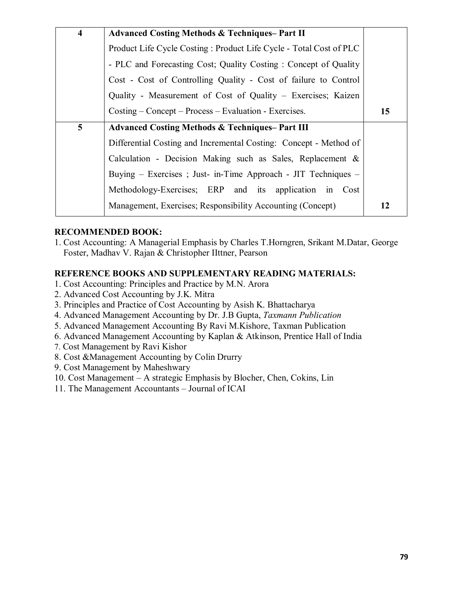| $\overline{\mathbf{4}}$ | <b>Advanced Costing Methods &amp; Techniques-Part II</b>           |    |  |  |  |  |  |  |
|-------------------------|--------------------------------------------------------------------|----|--|--|--|--|--|--|
|                         | Product Life Cycle Costing: Product Life Cycle - Total Cost of PLC |    |  |  |  |  |  |  |
|                         | - PLC and Forecasting Cost; Quality Costing: Concept of Quality    |    |  |  |  |  |  |  |
|                         | Cost - Cost of Controlling Quality - Cost of failure to Control    |    |  |  |  |  |  |  |
|                         | Quality - Measurement of Cost of Quality - Exercises; Kaizen       |    |  |  |  |  |  |  |
|                         | $Costing - Concept - Process - Evaluation - Exercises.$            | 15 |  |  |  |  |  |  |
| $5\overline{)}$         | <b>Advanced Costing Methods &amp; Techniques–Part III</b>          |    |  |  |  |  |  |  |
|                         | Differential Costing and Incremental Costing: Concept - Method of  |    |  |  |  |  |  |  |
|                         | Calculation - Decision Making such as Sales, Replacement $\&$      |    |  |  |  |  |  |  |
|                         | Buying – Exercises; Just- in-Time Approach - JIT Techniques –      |    |  |  |  |  |  |  |
|                         | Methodology-Exercises; ERP and its application in Cost             |    |  |  |  |  |  |  |
|                         | Management, Exercises; Responsibility Accounting (Concept)         | 12 |  |  |  |  |  |  |

# **RECOMMENDED BOOK:**

1. Cost Accounting: A Managerial Emphasis by Charles T.Horngren, Srikant M.Datar, George Foster, Madhav V. Rajan & Christopher IIttner, Pearson

# **REFERENCE BOOKS AND SUPPLEMENTARY READING MATERIALS:**

- 1. Cost Accounting: Principles and Practice by M.N. Arora
- 2. Advanced Cost Accounting by J.K. Mitra
- 3. Principles and Practice of Cost Accounting by Asish K. Bhattacharya
- 4. Advanced Management Accounting by Dr. J.B Gupta, *Taxmann Publication*
- 5. Advanced Management Accounting By Ravi M.Kishore, Taxman Publication
- 6. Advanced Management Accounting by Kaplan & Atkinson, Prentice Hall of India
- 7. Cost Management by Ravi Kishor
- 8. Cost &Management Accounting by Colin Drurry
- 9. Cost Management by Maheshwary
- 10. Cost Management A strategic Emphasis by Blocher, Chen, Cokins, Lin
- 11. The Management Accountants Journal of ICAI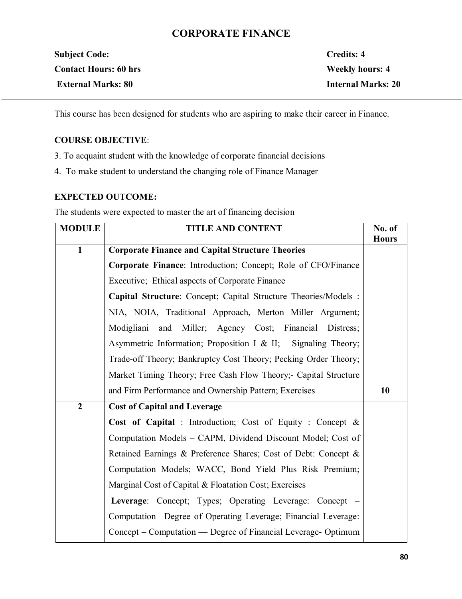# **CORPORATE FINANCE**

| <b>Subject Code:</b>         | Credits: 4                |
|------------------------------|---------------------------|
| <b>Contact Hours: 60 hrs</b> | <b>Weekly hours: 4</b>    |
| <b>External Marks: 80</b>    | <b>Internal Marks: 20</b> |

This course has been designed for students who are aspiring to make their career in Finance.

# **COURSE OBJECTIVE**:

- 3. To acquaint student with the knowledge of corporate financial decisions
- 4. To make student to understand the changing role of Finance Manager

# **EXPECTED OUTCOME:**

The students were expected to master the art of financing decision

| <b>MODULE</b>  | <b>TITLE AND CONTENT</b>                                        | No. of<br><b>Hours</b> |  |  |  |  |
|----------------|-----------------------------------------------------------------|------------------------|--|--|--|--|
| $\mathbf{1}$   | <b>Corporate Finance and Capital Structure Theories</b>         |                        |  |  |  |  |
|                | Corporate Finance: Introduction; Concept; Role of CFO/Finance   |                        |  |  |  |  |
|                | Executive; Ethical aspects of Corporate Finance                 |                        |  |  |  |  |
|                | Capital Structure: Concept; Capital Structure Theories/Models : |                        |  |  |  |  |
|                | NIA, NOIA, Traditional Approach, Merton Miller Argument;        |                        |  |  |  |  |
|                | Modigliani and Miller; Agency Cost; Financial Distress;         |                        |  |  |  |  |
|                | Asymmetric Information; Proposition I & II; Signaling Theory;   |                        |  |  |  |  |
|                | Trade-off Theory; Bankruptcy Cost Theory; Pecking Order Theory; |                        |  |  |  |  |
|                | Market Timing Theory; Free Cash Flow Theory;- Capital Structure |                        |  |  |  |  |
|                | and Firm Performance and Ownership Pattern; Exercises           | 10                     |  |  |  |  |
| $\overline{2}$ | <b>Cost of Capital and Leverage</b>                             |                        |  |  |  |  |
|                | Cost of Capital : Introduction; Cost of Equity : Concept &      |                        |  |  |  |  |
|                | Computation Models - CAPM, Dividend Discount Model; Cost of     |                        |  |  |  |  |
|                | Retained Earnings & Preference Shares; Cost of Debt: Concept &  |                        |  |  |  |  |
|                | Computation Models; WACC, Bond Yield Plus Risk Premium;         |                        |  |  |  |  |
|                | Marginal Cost of Capital & Floatation Cost; Exercises           |                        |  |  |  |  |
|                | Leverage: Concept; Types; Operating Leverage: Concept –         |                        |  |  |  |  |
|                | Computation - Degree of Operating Leverage; Financial Leverage: |                        |  |  |  |  |
|                | Concept – Computation — Degree of Financial Leverage- Optimum   |                        |  |  |  |  |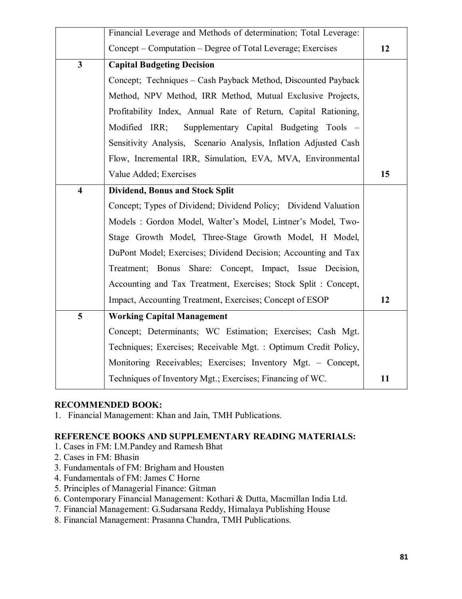|                         | Financial Leverage and Methods of determination; Total Leverage: |    |
|-------------------------|------------------------------------------------------------------|----|
|                         | Concept - Computation - Degree of Total Leverage; Exercises      | 12 |
| $\overline{\mathbf{3}}$ | <b>Capital Budgeting Decision</b>                                |    |
|                         | Concept; Techniques – Cash Payback Method, Discounted Payback    |    |
|                         | Method, NPV Method, IRR Method, Mutual Exclusive Projects,       |    |
|                         | Profitability Index, Annual Rate of Return, Capital Rationing,   |    |
|                         | Supplementary Capital Budgeting Tools –<br>Modified IRR;         |    |
|                         | Sensitivity Analysis, Scenario Analysis, Inflation Adjusted Cash |    |
|                         | Flow, Incremental IRR, Simulation, EVA, MVA, Environmental       |    |
|                         | Value Added; Exercises                                           | 15 |
| $\overline{\mathbf{4}}$ | <b>Dividend, Bonus and Stock Split</b>                           |    |
|                         | Concept; Types of Dividend; Dividend Policy; Dividend Valuation  |    |
|                         | Models: Gordon Model, Walter's Model, Lintner's Model, Two-      |    |
|                         | Stage Growth Model, Three-Stage Growth Model, H Model,           |    |
|                         | DuPont Model; Exercises; Dividend Decision; Accounting and Tax   |    |
|                         | Treatment; Bonus Share: Concept, Impact, Issue Decision,         |    |
|                         | Accounting and Tax Treatment, Exercises; Stock Split: Concept,   |    |
|                         | Impact, Accounting Treatment, Exercises; Concept of ESOP         | 12 |
| 5                       | <b>Working Capital Management</b>                                |    |
|                         | Concept; Determinants; WC Estimation; Exercises; Cash Mgt.       |    |
|                         | Techniques; Exercises; Receivable Mgt.: Optimum Credit Policy,   |    |
|                         | Monitoring Receivables; Exercises; Inventory Mgt. - Concept,     |    |
|                         | Techniques of Inventory Mgt.; Exercises; Financing of WC.        | 11 |
|                         |                                                                  |    |

# **RECOMMENDED BOOK:**

1. Financial Management: Khan and Jain, TMH Publications.

# **REFERENCE BOOKS AND SUPPLEMENTARY READING MATERIALS:**

- 1. Cases in FM: I.M.Pandey and Ramesh Bhat
- 2. Cases in FM: Bhasin
- 3. Fundamentals of FM: Brigham and Housten
- 4. Fundamentals of FM: James C Horne
- 5. Principles of Managerial Finance: Gitman
- 6. Contemporary Financial Management: Kothari & Dutta, Macmillan India Ltd.
- 7. Financial Management: G.Sudarsana Reddy, Himalaya Publishing House
- 8. Financial Management: Prasanna Chandra, TMH Publications.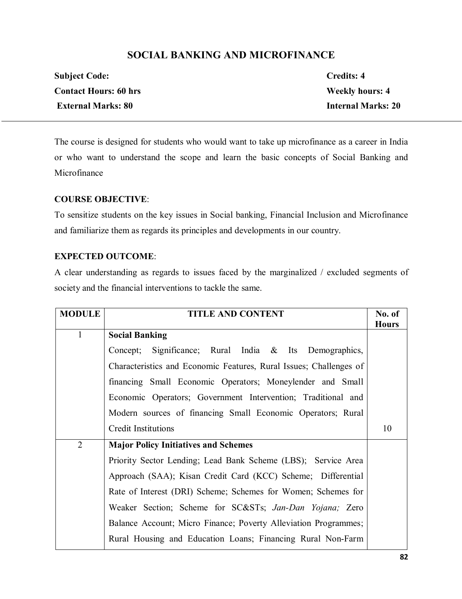# **SOCIAL BANKING AND MICROFINANCE**

| <b>Subject Code:</b>         | Credits: 4                |
|------------------------------|---------------------------|
| <b>Contact Hours: 60 hrs</b> | <b>Weekly hours: 4</b>    |
| <b>External Marks: 80</b>    | <b>Internal Marks: 20</b> |

The course is designed for students who would want to take up microfinance as a career in India or who want to understand the scope and learn the basic concepts of Social Banking and Microfinance

# **COURSE OBJECTIVE**:

To sensitize students on the key issues in Social banking, Financial Inclusion and Microfinance and familiarize them as regards its principles and developments in our country.

# **EXPECTED OUTCOME**:

A clear understanding as regards to issues faced by the marginalized / excluded segments of society and the financial interventions to tackle the same.

| <b>MODULE</b>  | <b>TITLE AND CONTENT</b>                                           |              |  |  |  |
|----------------|--------------------------------------------------------------------|--------------|--|--|--|
| $\mathbf{1}$   | <b>Social Banking</b>                                              | <b>Hours</b> |  |  |  |
|                | Concept; Significance; Rural India & Its Demographics,             |              |  |  |  |
|                | Characteristics and Economic Features, Rural Issues; Challenges of |              |  |  |  |
|                | financing Small Economic Operators; Moneylender and Small          |              |  |  |  |
|                | Economic Operators; Government Intervention; Traditional and       |              |  |  |  |
|                | Modern sources of financing Small Economic Operators; Rural        |              |  |  |  |
|                | <b>Credit Institutions</b>                                         | 10           |  |  |  |
| $\overline{2}$ | <b>Major Policy Initiatives and Schemes</b>                        |              |  |  |  |
|                | Priority Sector Lending; Lead Bank Scheme (LBS); Service Area      |              |  |  |  |
|                | Approach (SAA); Kisan Credit Card (KCC) Scheme; Differential       |              |  |  |  |
|                | Rate of Interest (DRI) Scheme; Schemes for Women; Schemes for      |              |  |  |  |
|                | Weaker Section; Scheme for SC&STs Jan-Dan Yojana; Zero             |              |  |  |  |
|                | Balance Account; Micro Finance; Poverty Alleviation Programmes;    |              |  |  |  |
|                | Rural Housing and Education Loans; Financing Rural Non-Farm        |              |  |  |  |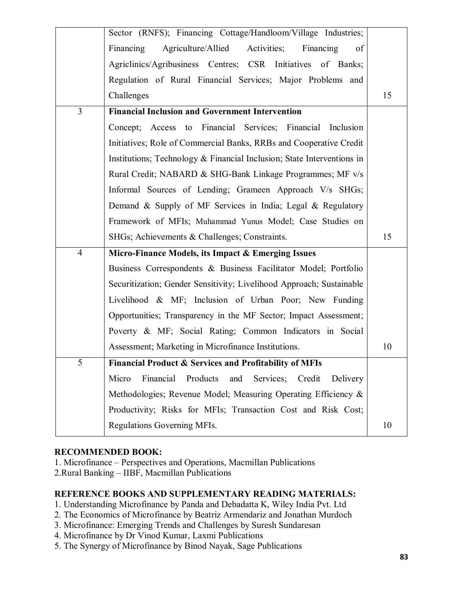|                | Sector (RNFS); Financing Cottage/Handloom/Village Industries;          |    |
|----------------|------------------------------------------------------------------------|----|
|                | Financing<br>Agriculture/Allied<br>Activities;<br>Financing<br>of      |    |
|                | Agriclinics/Agribusiness Centres; CSR Initiatives of Banks;            |    |
|                | Regulation of Rural Financial Services; Major Problems and             |    |
|                | Challenges                                                             | 15 |
| $\overline{3}$ | <b>Financial Inclusion and Government Intervention</b>                 |    |
|                | Concept; Access to Financial Services; Financial Inclusion             |    |
|                | Initiatives; Role of Commercial Banks, RRBs and Cooperative Credit     |    |
|                | Institutions; Technology & Financial Inclusion; State Interventions in |    |
|                | Rural Credit; NABARD & SHG-Bank Linkage Programmes; MF v/s             |    |
|                | Informal Sources of Lending; Grameen Approach V/s SHGs;                |    |
|                | Demand & Supply of MF Services in India; Legal & Regulatory            |    |
|                | Framework of MFIs; Muhammad Yunus Model; Case Studies on               |    |
|                | SHGs; Achievements & Challenges; Constraints.                          | 15 |
| $\overline{4}$ | Micro-Finance Models, its Impact & Emerging Issues                     |    |
|                | Business Correspondents & Business Facilitator Model; Portfolio        |    |
|                | Securitization; Gender Sensitivity; Livelihood Approach; Sustainable   |    |
|                | Livelihood & MF; Inclusion of Urban Poor; New Funding                  |    |
|                | Opportunities; Transparency in the MF Sector; Impact Assessment;       |    |
|                | Poverty & MF; Social Rating; Common Indicators in Social               |    |
|                |                                                                        |    |
|                | Assessment; Marketing in Microfinance Institutions.                    | 10 |
| 5              | <b>Financial Product &amp; Services and Profitability of MFIs</b>      |    |
|                | Financial Products<br>and Services; Credit Delivery<br>Micro           |    |
|                | Methodologies; Revenue Model; Measuring Operating Efficiency &         |    |
|                | Productivity; Risks for MFIs; Transaction Cost and Risk Cost;          |    |

# **RECOMMENDED BOOK:**

1. Microfinance – Perspectives and Operations, Macmillan Publications

2.Rural Banking – IIBF, Macmillan Publications

# **REFERENCE BOOKS AND SUPPLEMENTARY READING MATERIALS:**

1. Understanding Microfinance by Panda and Debadatta K, Wiley India Pvt. Ltd

- 2. The Economics of Microfinance by Beatriz Armendariz and Jonathan Murdoch
- 3. Microfinance: Emerging Trends and Challenges by Suresh Sundaresan
- 4. Microfinance by Dr Vinod Kumar, Laxmi Publications
- 5. The Synergy of Microfinance by Binod Nayak, Sage Publications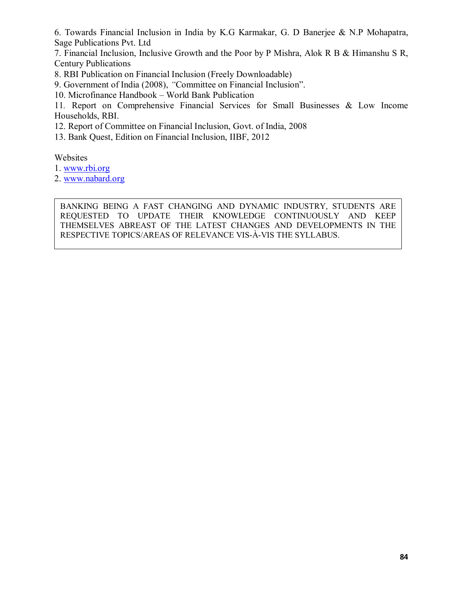6. Towards Financial Inclusion in India by K.G Karmakar, G. D Banerjee & N.P Mohapatra, Sage Publications Pvt. Ltd

7. Financial Inclusion, Inclusive Growth and the Poor by P Mishra, Alok R B & Himanshu S R, Century Publications

8. RBI Publication on Financial Inclusion (Freely Downloadable)

9. Government of India (2008), *"*Committee on Financial Inclusion".

10. Microfinance Handbook – World Bank Publication

11*.* Report on Comprehensive Financial Services for Small Businesses & Low Income Households, RBI.

12. Report of Committee on Financial Inclusion, Govt. of India, 2008

13. Bank Quest, Edition on Financial Inclusion, IIBF, 2012

Websites

1. www.rbi.org

2. www.nabard.org

BANKING BEING A FAST CHANGING AND DYNAMIC INDUSTRY, STUDENTS ARE REQUESTED TO UPDATE THEIR KNOWLEDGE CONTINUOUSLY AND KEEP THEMSELVES ABREAST OF THE LATEST CHANGES AND DEVELOPMENTS IN THE RESPECTIVE TOPICS/AREAS OF RELEVANCE VIS-À-VIS THE SYLLABUS.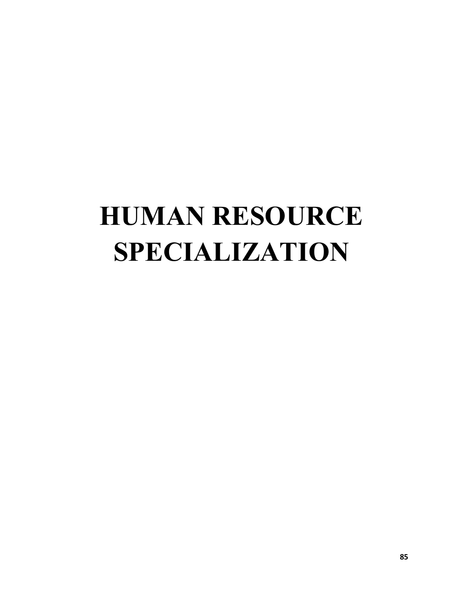# **HUMAN RESOURCE SPECIALIZATION**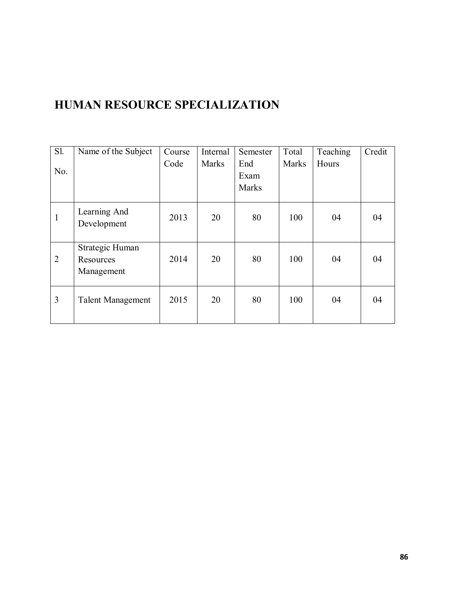# **HUMAN RESOURCE SPECIALIZATION**

| S1.            | Name of the Subject      | Course | Internal     | Semester     | Total        | Teaching | Credit |
|----------------|--------------------------|--------|--------------|--------------|--------------|----------|--------|
|                |                          | Code   | <b>Marks</b> | End          | <b>Marks</b> | Hours    |        |
| No.            |                          |        |              | Exam         |              |          |        |
|                |                          |        |              | <b>Marks</b> |              |          |        |
|                |                          |        |              |              |              |          |        |
| 1              | Learning And             | 2013   | 20           | 80           | 100          | 04       | 04     |
|                | Development              |        |              |              |              |          |        |
|                |                          |        |              |              |              |          |        |
|                | Strategic Human          |        |              |              |              |          |        |
| $\overline{2}$ | Resources                | 2014   | 20           | 80           | 100          | 04       | 04     |
|                | Management               |        |              |              |              |          |        |
|                |                          |        |              |              |              |          |        |
| 3              | <b>Talent Management</b> | 2015   | 20           | 80           | 100          | 04       | 04     |
|                |                          |        |              |              |              |          |        |
|                |                          |        |              |              |              |          |        |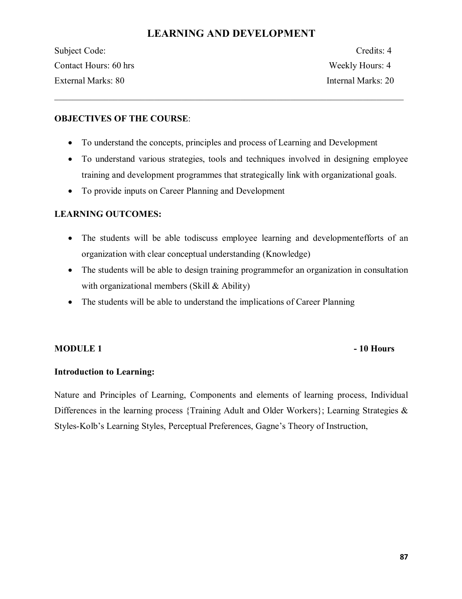# **LEARNING AND DEVELOPMENT**

 $\mathcal{L}_\mathcal{L} = \{ \mathcal{L}_\mathcal{L} = \{ \mathcal{L}_\mathcal{L} = \{ \mathcal{L}_\mathcal{L} = \{ \mathcal{L}_\mathcal{L} = \{ \mathcal{L}_\mathcal{L} = \{ \mathcal{L}_\mathcal{L} = \{ \mathcal{L}_\mathcal{L} = \{ \mathcal{L}_\mathcal{L} = \{ \mathcal{L}_\mathcal{L} = \{ \mathcal{L}_\mathcal{L} = \{ \mathcal{L}_\mathcal{L} = \{ \mathcal{L}_\mathcal{L} = \{ \mathcal{L}_\mathcal{L} = \{ \mathcal{L}_\mathcal{$ 

Subject Code: Credits: 4 Contact Hours: 60 hrs Weekly Hours: 4 External Marks: 80 Internal Marks: 20

# **OBJECTIVES OF THE COURSE**:

- · To understand the concepts, principles and process of Learning and Development
- · To understand various strategies, tools and techniques involved in designing employee training and development programmes that strategically link with organizational goals.
- · To provide inputs on Career Planning and Development

# **LEARNING OUTCOMES:**

- · The students will be able todiscuss employee learning and developmentefforts of an organization with clear conceptual understanding (Knowledge)
- · The students will be able to design training programmefor an organization in consultation with organizational members (Skill & Ability)
- The students will be able to understand the implications of Career Planning

# **MODULE 1 - 10 Hours**

# **Introduction to Learning:**

Nature and Principles of Learning, Components and elements of learning process, Individual Differences in the learning process {Training Adult and Older Workers}; Learning Strategies & Styles-Kolb's Learning Styles, Perceptual Preferences, Gagne's Theory of Instruction,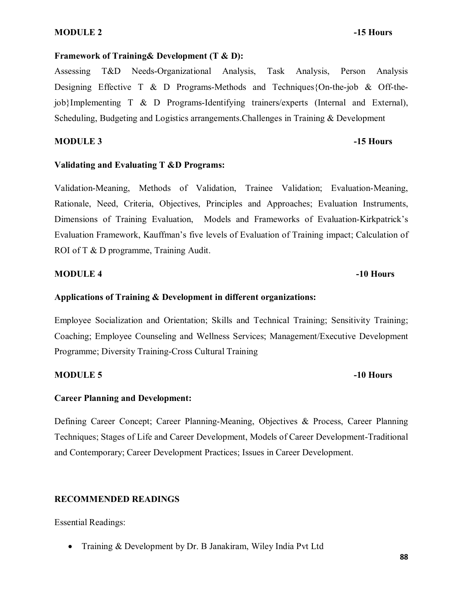# **MODULE 2** -15 Hours

# **Framework of Training& Development (T & D):**

Assessing T&D Needs-Organizational Analysis, Task Analysis, Person Analysis Designing Effective T & D Programs-Methods and Techniques{On-the-job & Off-thejob}Implementing T & D Programs-Identifying trainers/experts (Internal and External), Scheduling, Budgeting and Logistics arrangements.Challenges in Training & Development

# **MODULE 3** -15 Hours

## **Validating and Evaluating T &D Programs:**

Validation-Meaning, Methods of Validation, Trainee Validation; Evaluation-Meaning, Rationale, Need, Criteria, Objectives, Principles and Approaches; Evaluation Instruments, Dimensions of Training Evaluation, Models and Frameworks of Evaluation-Kirkpatrick's Evaluation Framework, Kauffman's five levels of Evaluation of Training impact; Calculation of ROI of T & D programme, Training Audit.

## **MODULE 4 -10 Hours**

# **Applications of Training & Development in different organizations:**

Employee Socialization and Orientation; Skills and Technical Training; Sensitivity Training; Coaching; Employee Counseling and Wellness Services; Management/Executive Development Programme; Diversity Training-Cross Cultural Training

## **MODULE 5 -10 Hours**

# **Career Planning and Development:**

Defining Career Concept; Career Planning-Meaning, Objectives & Process, Career Planning Techniques; Stages of Life and Career Development, Models of Career Development-Traditional and Contemporary; Career Development Practices; Issues in Career Development.

# **RECOMMENDED READINGS**

Essential Readings:

· Training & Development by Dr. B Janakiram, Wiley India Pvt Ltd

## **88**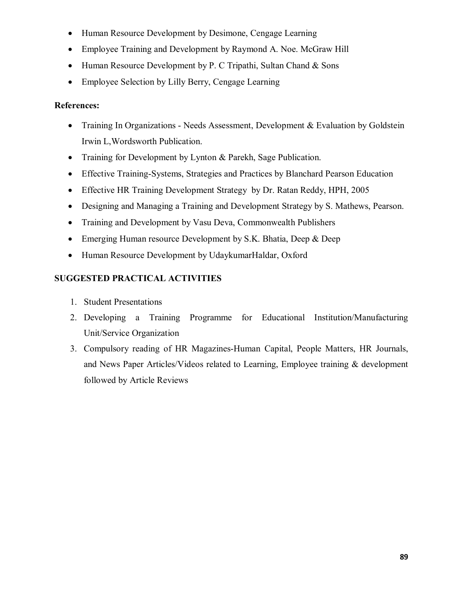- · Human Resource Development by Desimone, Cengage Learning
- Employee Training and Development by Raymond A. Noe. McGraw Hill
- Human Resource Development by P. C Tripathi, Sultan Chand & Sons
- Employee Selection by Lilly Berry, Cengage Learning

# **References:**

- Training In Organizations Needs Assessment, Development & Evaluation by Goldstein Irwin L,Wordsworth Publication.
- Training for Development by Lynton & Parekh, Sage Publication.
- · Effective Training-Systems, Strategies and Practices by Blanchard Pearson Education
- · Effective HR Training Development Strategy by Dr. Ratan Reddy, HPH, 2005
- · Designing and Managing a Training and Development Strategy by S. Mathews, Pearson.
- Training and Development by Vasu Deva, Commonwealth Publishers
- Emerging Human resource Development by S.K. Bhatia, Deep & Deep
- · Human Resource Development by UdaykumarHaldar, Oxford

# **SUGGESTED PRACTICAL ACTIVITIES**

- 1. Student Presentations
- 2. Developing a Training Programme for Educational Institution/Manufacturing Unit/Service Organization
- 3. Compulsory reading of HR Magazines-Human Capital, People Matters, HR Journals, and News Paper Articles/Videos related to Learning, Employee training & development followed by Article Reviews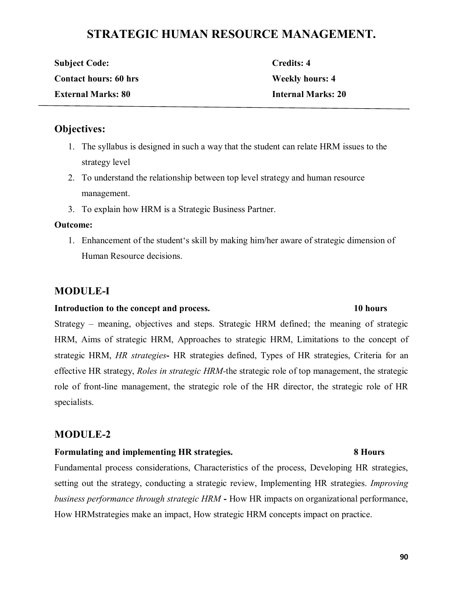# **STRATEGIC HUMAN RESOURCE MANAGEMENT.**

| <b>Subject Code:</b>         | Credits: 4                |
|------------------------------|---------------------------|
| <b>Contact hours: 60 hrs</b> | <b>Weekly hours: 4</b>    |
| <b>External Marks: 80</b>    | <b>Internal Marks: 20</b> |

# **Objectives:**

- 1. The syllabus is designed in such a way that the student can relate HRM issues to the strategy level
- 2. To understand the relationship between top level strategy and human resource management.
- 3. To explain how HRM is a Strategic Business Partner.

# **Outcome:**

1. Enhancement of the student's skill by making him/her aware of strategic dimension of Human Resource decisions.

# **MODULE-I**

# **Introduction to the concept and process. 10 hours**

Strategy – meaning, objectives and steps. Strategic HRM defined; the meaning of strategic HRM, Aims of strategic HRM, Approaches to strategic HRM, Limitations to the concept of strategic HRM, *HR strategies***-** HR strategies defined, Types of HR strategies, Criteria for an effective HR strategy, *Roles in strategic HRM-*the strategic role of top management, the strategic role of front-line management, the strategic role of the HR director, the strategic role of HR specialists.

# **MODULE-2**

# **Formulating and implementing HR strategies. 8 Hours**

Fundamental process considerations, Characteristics of the process, Developing HR strategies, setting out the strategy, conducting a strategic review, Implementing HR strategies. *Improving business performance through strategic HRM* **-** How HR impacts on organizational performance, How HRMstrategies make an impact, How strategic HRM concepts impact on practice.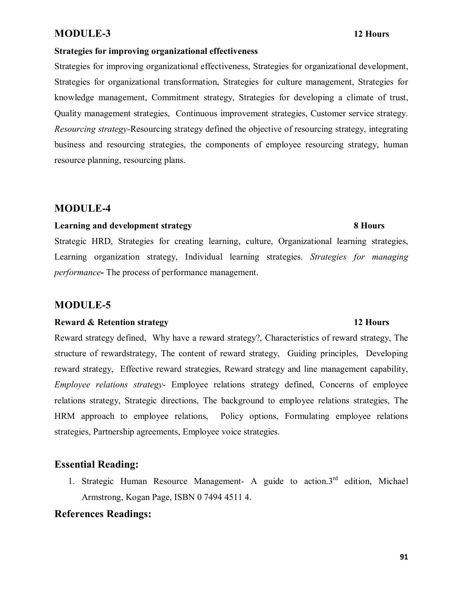# **MODULE-3 12 Hours**

# **Strategies for improving organizational effectiveness**

Strategies for improving organizational effectiveness, Strategies for organizational development, Strategies for organizational transformation, Strategies for culture management, Strategies for knowledge management, Commitment strategy, Strategies for developing a climate of trust, Quality management strategies, Continuous improvement strategies, Customer service strategy. *Resourcing strategy-*Resourcing strategy defined the objective of resourcing strategy, integrating business and resourcing strategies, the components of employee resourcing strategy, human resource planning, resourcing plans.

# **MODULE-4**

# **Learning and development strategy 8 Hours**

# Strategic HRD, Strategies for creating learning, culture, Organizational learning strategies, Learning organization strategy, Individual learning strategies. *Strategies for managing performance***-** The process of performance management.

# **MODULE-5**

# **Reward & Retention strategy** 12 Hours

# Reward strategy defined, Why have a reward strategy?, Characteristics of reward strategy, The structure of rewardstrategy, The content of reward strategy, Guiding principles, Developing reward strategy, Effective reward strategies, Reward strategy and line management capability, *Employee relations strategy*- Employee relations strategy defined, Concerns of employee relations strategy, Strategic directions, The background to employee relations strategies, The HRM approach to employee relations, Policy options, Formulating employee relations strategies, Partnership agreements, Employee voice strategies.

# **Essential Reading:**

1. Strategic Human Resource Management- A guide to action. $3<sup>rd</sup>$  edition, Michael Armstrong, Kogan Page, ISBN 0 7494 4511 4.

# **References Readings:**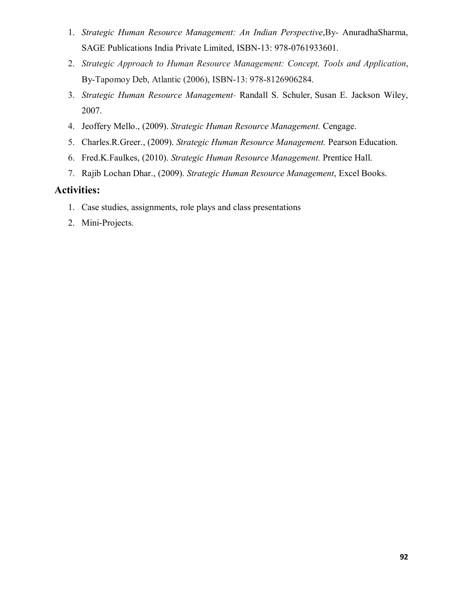- 1. *Strategic Human Resource Management: An Indian Perspective*,By- AnuradhaSharma, SAGE Publications India Private Limited, ISBN-13: 978-0761933601.
- 2. *Strategic Approach to Human Resource Management: Concept, Tools and Application*, By-Tapomoy Deb, Atlantic (2006), ISBN-13: 978-8126906284.
- 3. *Strategic Human Resource Management* Randall S. Schuler, Susan E. Jackson Wiley, 2007.
- 4. Jeoffery Mello., (2009). *Strategic Human Resource Management.* Cengage.
- 5. Charles.R.Greer., (2009). *Strategic Human Resource Management.* Pearson Education.
- 6. Fred.K.Faulkes, (2010). *Strategic Human Resource Management.* Prentice Hall.
- 7. Rajib Lochan Dhar., (2009). *Strategic Human Resource Management*, Excel Books.

# **Activities:**

- 1. Case studies, assignments, role plays and class presentations
- 2. Mini-Projects.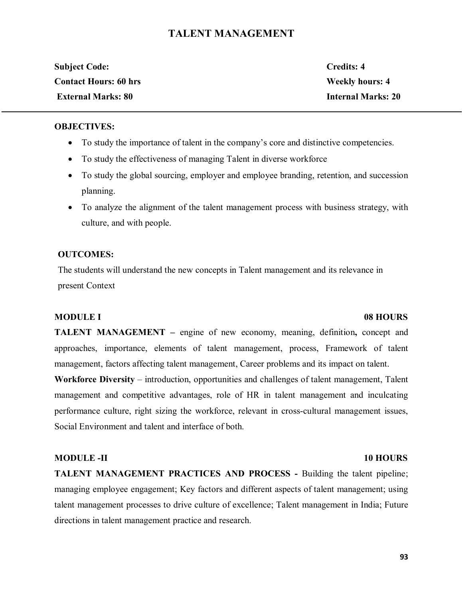# **TALENT MANAGEMENT**

| <b>Subject Code:</b>         | Credits: 4                |
|------------------------------|---------------------------|
| <b>Contact Hours: 60 hrs</b> | <b>Weekly hours: 4</b>    |
| <b>External Marks: 80</b>    | <b>Internal Marks: 20</b> |

# **OBJECTIVES:**

- · To study the importance of talent in the company's core and distinctive competencies.
- · To study the effectiveness of managing Talent in diverse workforce
- · To study the global sourcing, employer and employee branding, retention, and succession planning.
- · To analyze the alignment of the talent management process with business strategy, with culture, and with people.

# **OUTCOMES:**

The students will understand the new concepts in Talent management and its relevance in present Context

# **MODULE I** 08 HOURS

**TALENT MANAGEMENT –** engine of new economy, meaning, definition**,** concept and approaches, importance, elements of talent management, process, Framework of talent management, factors affecting talent management, Career problems and its impact on talent.

**Workforce Diversity** – introduction, opportunities and challenges of talent management, Talent management and competitive advantages, role of HR in talent management and inculcating performance culture, right sizing the workforce, relevant in cross-cultural management issues, Social Environment and talent and interface of both.

## **MODULE -II** 10 HOURS

**TALENT MANAGEMENT PRACTICES AND PROCESS -** Building the talent pipeline; managing employee engagement; Key factors and different aspects of talent management; using talent management processes to drive culture of excellence; Talent management in India; Future directions in talent management practice and research.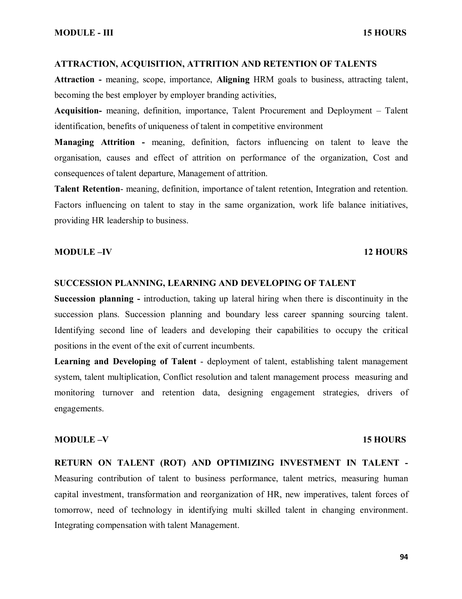## **ATTRACTION, ACQUISITION, ATTRITION AND RETENTION OF TALENTS**

**Attraction -** meaning, scope, importance, **Aligning** HRM goals to business, attracting talent, becoming the best employer by employer branding activities,

**Acquisition-** meaning, definition, importance, Talent Procurement and Deployment – Talent identification, benefits of uniqueness of talent in competitive environment

**Managing Attrition -** meaning, definition, factors influencing on talent to leave the organisation, causes and effect of attrition on performance of the organization, Cost and consequences of talent departure, Management of attrition.

**Talent Retention**- meaning, definition, importance of talent retention, Integration and retention. Factors influencing on talent to stay in the same organization, work life balance initiatives, providing HR leadership to business.

# **MODULE –IV 12 HOURS**

## **SUCCESSION PLANNING, LEARNING AND DEVELOPING OF TALENT**

**Succession planning -** introduction, taking up lateral hiring when there is discontinuity in the succession plans. Succession planning and boundary less career spanning sourcing talent. Identifying second line of leaders and developing their capabilities to occupy the critical positions in the event of the exit of current incumbents.

**Learning and Developing of Talent** - deployment of talent, establishing talent management system, talent multiplication, Conflict resolution and talent management process measuring and monitoring turnover and retention data, designing engagement strategies, drivers of engagements.

## **MODULE –V** 15 HOURS

**RETURN ON TALENT (ROT) AND OPTIMIZING INVESTMENT IN TALENT -** Measuring contribution of talent to business performance, talent metrics, measuring human capital investment, transformation and reorganization of HR, new imperatives, talent forces of tomorrow, need of technology in identifying multi skilled talent in changing environment. Integrating compensation with talent Management.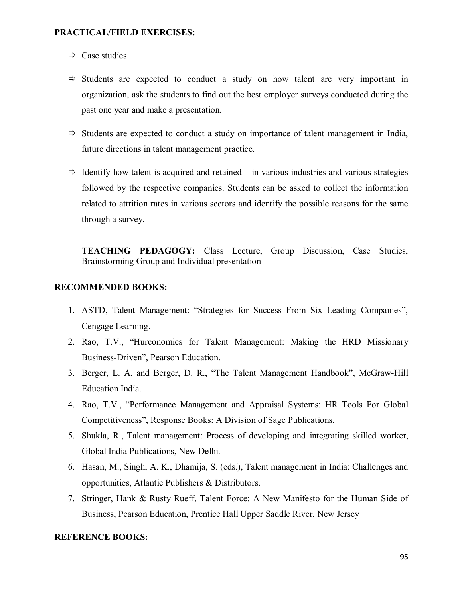## **PRACTICAL/FIELD EXERCISES:**

- $\Rightarrow$  Case studies
- $\Rightarrow$  Students are expected to conduct a study on how talent are very important in organization, ask the students to find out the best employer surveys conducted during the past one year and make a presentation.
- $\Rightarrow$  Students are expected to conduct a study on importance of talent management in India, future directions in talent management practice.
- $\Rightarrow$  Identify how talent is acquired and retained in various industries and various strategies followed by the respective companies. Students can be asked to collect the information related to attrition rates in various sectors and identify the possible reasons for the same through a survey.

**TEACHING PEDAGOGY:** Class Lecture, Group Discussion, Case Studies, Brainstorming Group and Individual presentation

# **RECOMMENDED BOOKS:**

- 1. ASTD, Talent Management: "Strategies for Success From Six Leading Companies", Cengage Learning.
- 2. Rao, T.V., "Hurconomics for Talent Management: Making the HRD Missionary Business-Driven", Pearson Education.
- 3. Berger, L. A. and Berger, D. R., "The Talent Management Handbook", McGraw-Hill Education India.
- 4. Rao, T.V., "Performance Management and Appraisal Systems: HR Tools For Global Competitiveness", Response Books: A Division of Sage Publications.
- 5. Shukla, R., Talent management: Process of developing and integrating skilled worker, Global India Publications, New Delhi.
- 6. Hasan, M., Singh, A. K., Dhamija, S. (eds.), Talent management in India: Challenges and opportunities, Atlantic Publishers & Distributors.
- 7. Stringer, Hank & Rusty Rueff, Talent Force: A New Manifesto for the Human Side of Business, Pearson Education, Prentice Hall Upper Saddle River, New Jersey

# **REFERENCE BOOKS:**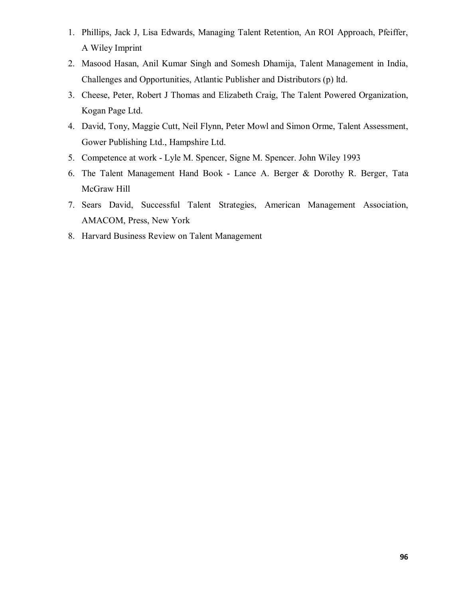- 1. Phillips, Jack J, Lisa Edwards, Managing Talent Retention, An ROI Approach, Pfeiffer, A Wiley Imprint
- 2. Masood Hasan, Anil Kumar Singh and Somesh Dhamija, Talent Management in India, Challenges and Opportunities, Atlantic Publisher and Distributors (p) ltd.
- 3. Cheese, Peter, Robert J Thomas and Elizabeth Craig, The Talent Powered Organization, Kogan Page Ltd.
- 4. David, Tony, Maggie Cutt, Neil Flynn, Peter Mowl and Simon Orme, Talent Assessment, Gower Publishing Ltd., Hampshire Ltd.
- 5. Competence at work Lyle M. Spencer, Signe M. Spencer. John Wiley 1993
- 6. The Talent Management Hand Book Lance A. Berger & Dorothy R. Berger, Tata McGraw Hill
- 7. Sears David, Successful Talent Strategies, American Management Association, AMACOM, Press, New York
- 8. Harvard Business Review on Talent Management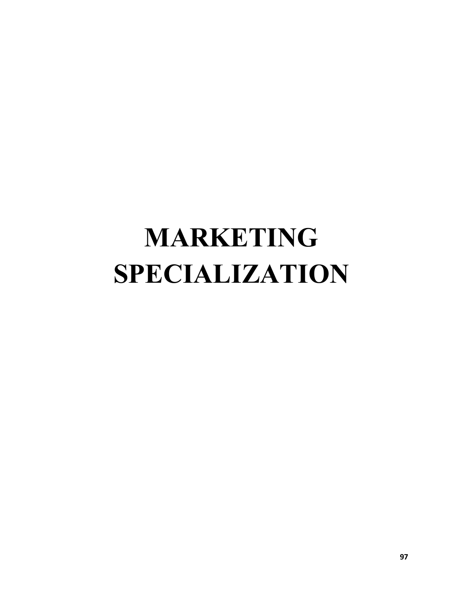# **MARKETING SPECIALIZATION**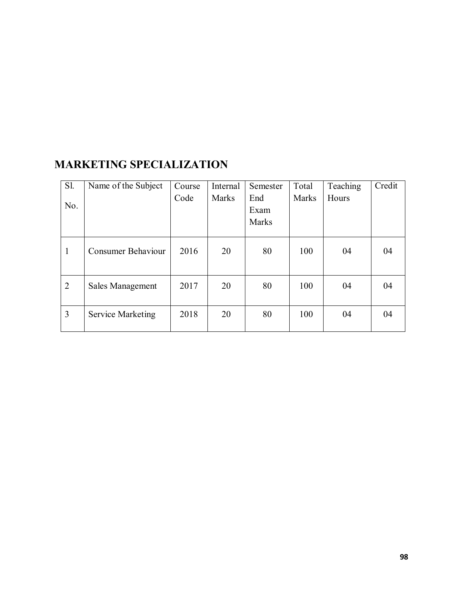| S1.            | Name of the Subject       | Course | Internal     | Semester | Total | Teaching | Credit |
|----------------|---------------------------|--------|--------------|----------|-------|----------|--------|
|                |                           | Code   | <b>Marks</b> | End      | Marks | Hours    |        |
| No.            |                           |        |              | Exam     |       |          |        |
|                |                           |        |              | Marks    |       |          |        |
|                |                           |        |              |          |       |          |        |
| $\mathbf{1}$   | <b>Consumer Behaviour</b> | 2016   | 20           | 80       | 100   | 04       | 04     |
| $\overline{2}$ | <b>Sales Management</b>   | 2017   | 20           | 80       | 100   | 04       | 04     |
| $\overline{3}$ | <b>Service Marketing</b>  | 2018   | 20           | 80       | 100   | 04       | 04     |

# **MARKETING SPECIALIZATION**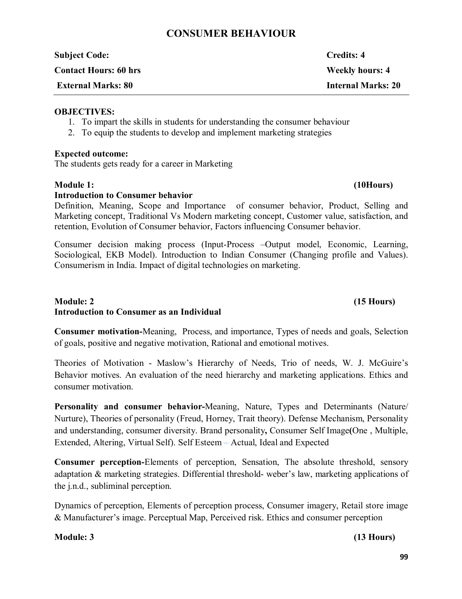# **CONSUMER BEHAVIOUR**

| <b>Subject Code:</b>         | <b>Credits: 4</b>         |
|------------------------------|---------------------------|
| <b>Contact Hours: 60 hrs</b> | <b>Weekly hours: 4</b>    |
| <b>External Marks: 80</b>    | <b>Internal Marks: 20</b> |
|                              |                           |

# **OBJECTIVES:**

- 1. To impart the skills in students for understanding the consumer behaviour
- 2. To equip the students to develop and implement marketing strategies

# **Expected outcome:**

The students gets ready for a career in Marketing

# **Module 1: (10Hours)**

# **Introduction to Consumer behavior**

Definition, Meaning, Scope and Importance of consumer behavior, Product, Selling and Marketing concept, Traditional Vs Modern marketing concept, Customer value, satisfaction, and retention, Evolution of Consumer behavior, Factors influencing Consumer behavior.

Consumer decision making process (Input-Process –Output model, Economic, Learning, Sociological, EKB Model). Introduction to Indian Consumer (Changing profile and Values). Consumerism in India. Impact of digital technologies on marketing.

# **Module: 2 (15 Hours) Introduction to Consumer as an Individual**

**Consumer motivation-**Meaning, Process, and importance, Types of needs and goals, Selection of goals, positive and negative motivation, Rational and emotional motives.

Theories of Motivation - Maslow's Hierarchy of Needs, Trio of needs, W. J. McGuire's Behavior motives. An evaluation of the need hierarchy and marketing applications. Ethics and consumer motivation.

**Personality and consumer behavior-**Meaning, Nature, Types and Determinants (Nature/ Nurture), Theories of personality (Freud, Horney, Trait theory). Defense Mechanism, Personality and understanding, consumer diversity. Brand personality**,** Consumer Self Image**(**One , Multiple, Extended, Altering, Virtual Self). Self Esteem – Actual, Ideal and Expected

**Consumer perception-**Elements of perception, Sensation, The absolute threshold, sensory adaptation & marketing strategies. Differential threshold- weber's law, marketing applications of the j.n.d., subliminal perception.

Dynamics of perception, Elements of perception process, Consumer imagery, Retail store image & Manufacturer's image. Perceptual Map, Perceived risk. Ethics and consumer perception

# **Module: 3 (13 Hours)**

# **99**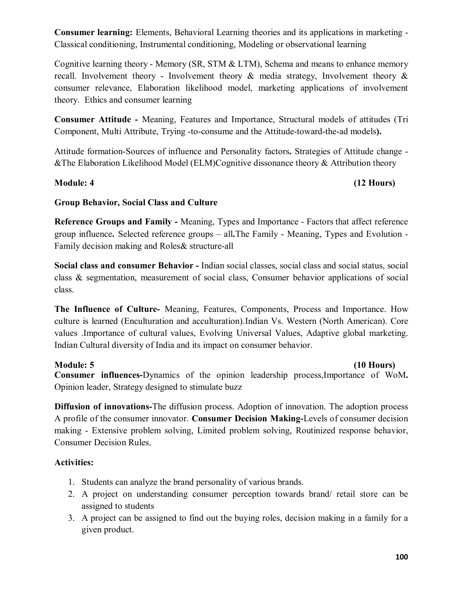**Consumer learning:** Elements, Behavioral Learning theories and its applications in marketing - Classical conditioning, Instrumental conditioning, Modeling or observational learning

Cognitive learning theory - Memory (SR, STM & LTM), Schema and means to enhance memory recall. Involvement theory - Involvement theory & media strategy, Involvement theory & consumer relevance, Elaboration likelihood model, marketing applications of involvement theory. Ethics and consumer learning

**Consumer Attitude -** Meaning, Features and Importance, Structural models of attitudes (Tri Component, Multi Attribute, Trying -to-consume and the Attitude-toward-the-ad models**).**

Attitude formation-Sources of influence and Personality factors**.** Strategies of Attitude change - &The Elaboration Likelihood Model (ELM)Cognitive dissonance theory & Attribution theory

# **Module: 4 (12 Hours)**

# **Group Behavior, Social Class and Culture**

**Reference Groups and Family -** Meaning, Types and Importance - Factors that affect reference group influence**.** Selected reference groups – all**.**The Family - Meaning, Types and Evolution - Family decision making and Roles& structure-all

**Social class and consumer Behavior -** Indian social classes, social class and social status, social class & segmentation, measurement of social class, Consumer behavior applications of social class.

**The Influence of Culture-** Meaning, Features, Components, Process and Importance. How culture is learned (Enculturation and acculturation).Indian Vs. Western (North American). Core values .Importance of cultural values, Evolving Universal Values, Adaptive global marketing. Indian Cultural diversity of India and its impact on consumer behavior.

# **Module: 5 (10 Hours)**

**Consumer influences-**Dynamics of the opinion leadership process,Importance of WoM**.**  Opinion leader, Strategy designed to stimulate buzz

**Diffusion of innovations-**The diffusion process. Adoption of innovation. The adoption process A profile of the consumer innovator. **Consumer Decision Making-**Levels of consumer decision making - Extensive problem solving, Limited problem solving, Routinized response behavior, Consumer Decision Rules.

# **Activities:**

- 1. Students can analyze the brand personality of various brands.
- 2. A project on understanding consumer perception towards brand/ retail store can be assigned to students
- 3. A project can be assigned to find out the buying roles, decision making in a family for a given product.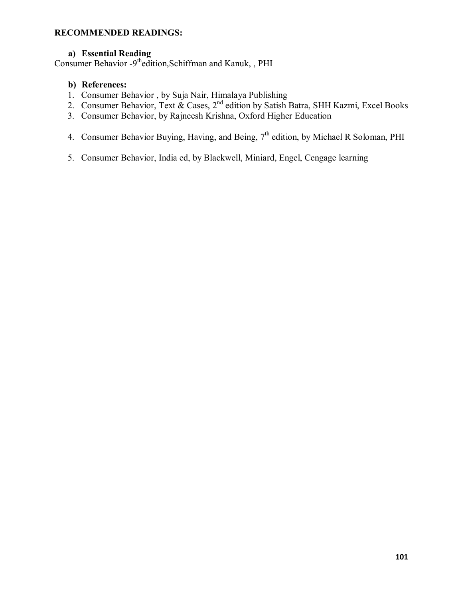# **RECOMMENDED READINGS:**

# **a) Essential Reading**

Consumer Behavior -9<sup>th</sup>edition, Schiffman and Kanuk,, PHI

# **b) References:**

- 1. Consumer Behavior , by Suja Nair, Himalaya Publishing
- 2. Consumer Behavior, Text & Cases, 2<sup>nd</sup> edition by Satish Batra, SHH Kazmi, Excel Books
- 3. Consumer Behavior, by Rajneesh Krishna, Oxford Higher Education
- 4. Consumer Behavior Buying, Having, and Being, 7<sup>th</sup> edition, by Michael R Soloman, PHI
- 5. Consumer Behavior, India ed, by Blackwell, Miniard, Engel, Cengage learning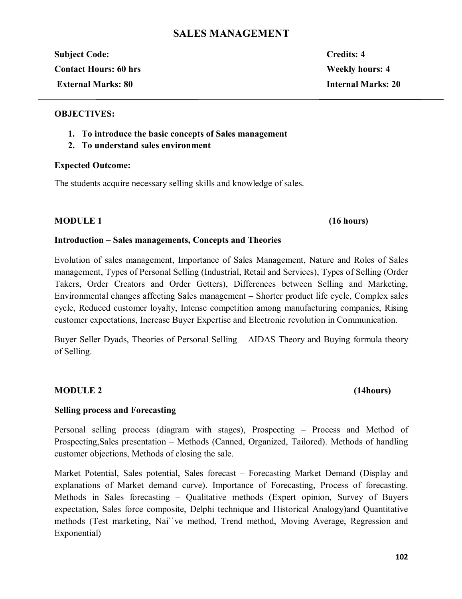# **SALES MANAGEMENT**

**Subject Code: Credits: 4 Contact Hours: 60 hrs Weekly hours: 4 External Marks: 80 Internal Marks: 20**

# **OBJECTIVES:**

- **1. To introduce the basic concepts of Sales management**
- **2. To understand sales environment**

# **Expected Outcome:**

The students acquire necessary selling skills and knowledge of sales.

# **MODULE 1 (16 hours)**

# **Introduction – Sales managements, Concepts and Theories**

Evolution of sales management, Importance of Sales Management, Nature and Roles of Sales management, Types of Personal Selling (Industrial, Retail and Services), Types of Selling (Order Takers, Order Creators and Order Getters), Differences between Selling and Marketing, Environmental changes affecting Sales management – Shorter product life cycle, Complex sales cycle, Reduced customer loyalty, Intense competition among manufacturing companies, Rising customer expectations, Increase Buyer Expertise and Electronic revolution in Communication.

Buyer Seller Dyads, Theories of Personal Selling – AIDAS Theory and Buying formula theory of Selling.

# **MODULE 2 (14hours)**

# **Selling process and Forecasting**

Personal selling process (diagram with stages), Prospecting – Process and Method of Prospecting,Sales presentation – Methods (Canned, Organized, Tailored). Methods of handling customer objections, Methods of closing the sale.

Market Potential, Sales potential, Sales forecast – Forecasting Market Demand (Display and explanations of Market demand curve). Importance of Forecasting, Process of forecasting. Methods in Sales forecasting – Qualitative methods (Expert opinion, Survey of Buyers expectation, Sales force composite, Delphi technique and Historical Analogy)and Quantitative methods (Test marketing, Nai``ve method, Trend method, Moving Average, Regression and Exponential)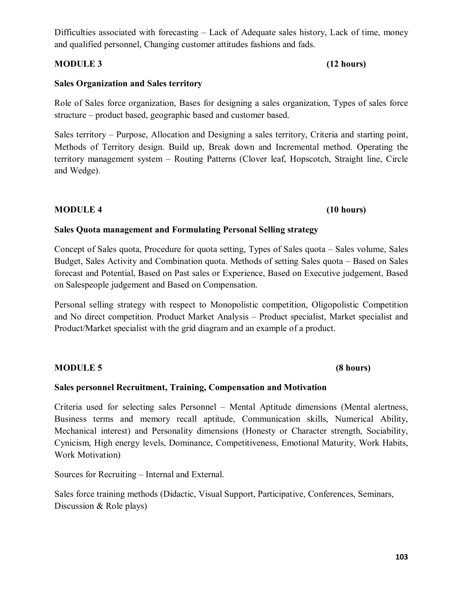Difficulties associated with forecasting – Lack of Adequate sales history, Lack of time, money and qualified personnel, Changing customer attitudes fashions and fads.

# **MODULE 3 (12 hours)**

# **Sales Organization and Sales territory**

Role of Sales force organization, Bases for designing a sales organization, Types of sales force structure – product based, geographic based and customer based.

Sales territory – Purpose, Allocation and Designing a sales territory, Criteria and starting point, Methods of Territory design. Build up, Break down and Incremental method. Operating the territory management system – Routing Patterns (Clover leaf, Hopscotch, Straight line, Circle and Wedge).

# **MODULE 4 (10 hours)**

# **Sales Quota management and Formulating Personal Selling strategy**

Concept of Sales quota, Procedure for quota setting, Types of Sales quota – Sales volume, Sales Budget, Sales Activity and Combination quota. Methods of setting Sales quota – Based on Sales forecast and Potential, Based on Past sales or Experience, Based on Executive judgement, Based on Salespeople judgement and Based on Compensation.

Personal selling strategy with respect to Monopolistic competition, Oligopolistic Competition and No direct competition. Product Market Analysis – Product specialist, Market specialist and Product/Market specialist with the grid diagram and an example of a product.

# **MODULE 5 (8 hours)**

# **Sales personnel Recruitment, Training, Compensation and Motivation**

Criteria used for selecting sales Personnel – Mental Aptitude dimensions (Mental alertness, Business terms and memory recall aptitude, Communication skills, Numerical Ability, Mechanical interest) and Personality dimensions (Honesty or Character strength, Sociability, Cynicism, High energy levels, Dominance, Competitiveness, Emotional Maturity, Work Habits, Work Motivation)

Sources for Recruiting – Internal and External.

Sales force training methods (Didactic, Visual Support, Participative, Conferences, Seminars, Discussion & Role plays)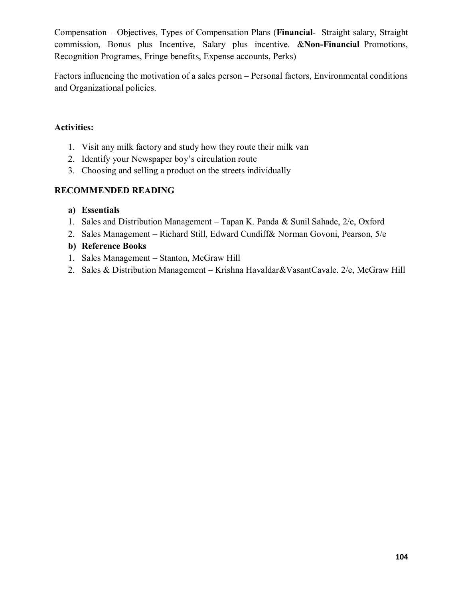Compensation – Objectives, Types of Compensation Plans (**Financial**- Straight salary, Straight commission, Bonus plus Incentive, Salary plus incentive. &**Non-Financial**–Promotions, Recognition Programes, Fringe benefits, Expense accounts, Perks)

Factors influencing the motivation of a sales person – Personal factors, Environmental conditions and Organizational policies.

# **Activities:**

- 1. Visit any milk factory and study how they route their milk van
- 2. Identify your Newspaper boy's circulation route
- 3. Choosing and selling a product on the streets individually

# **RECOMMENDED READING**

# **a) Essentials**

- 1. Sales and Distribution Management Tapan K. Panda & Sunil Sahade, 2/e, Oxford
- 2. Sales Management Richard Still, Edward Cundiff& Norman Govoni, Pearson, 5/e

# **b) Reference Books**

- 1. Sales Management Stanton, McGraw Hill
- 2. Sales & Distribution Management Krishna Havaldar&VasantCavale. 2/e, McGraw Hill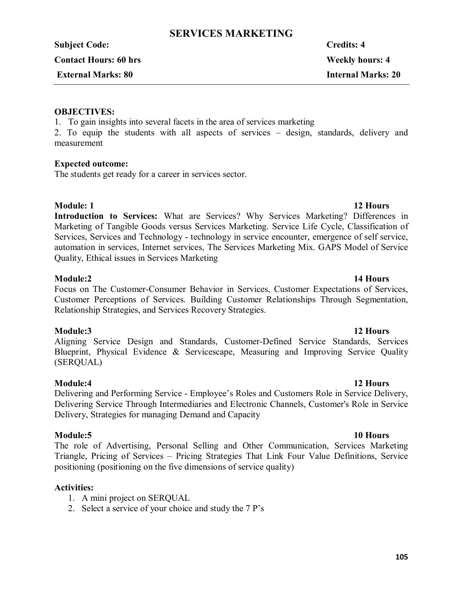# **SERVICES MARKETING**

**Subject Code: Credits: 4** 

**Contact Hours: 60 hrs Weekly hours: 4**

# **External Marks: 80 Internal Marks: 20**

# **OBJECTIVES:**

1. To gain insights into several facets in the area of services marketing

2. To equip the students with all aspects of services – design, standards, delivery and measurement

# **Expected outcome:**

The students get ready for a career in services sector.

**Module: 1** 12 Hours **Introduction to Services:** What are Services? Why Services Marketing? Differences in Marketing of Tangible Goods versus Services Marketing. Service Life Cycle, Classification of Services, Services and Technology - technology in service encounter, emergence of self service, automation in services, Internet services, The Services Marketing Mix. GAPS Model of Service Quality, Ethical issues in Services Marketing

# **Module:2 14 Hours**

Focus on The Customer-Consumer Behavior in Services, Customer Expectations of Services, Customer Perceptions of Services. Building Customer Relationships Through Segmentation, Relationship Strategies, and Services Recovery Strategies.

# **Module:3 12 Hours**

Aligning Service Design and Standards, Customer-Defined Service Standards, Services Blueprint, Physical Evidence & Servicescape, Measuring and Improving Service Quality (SERQUAL)

# **Module:4 12 Hours**

Delivering and Performing Service - Employee's Roles and Customers Role in Service Delivery, Delivering Service Through Intermediaries and Electronic Channels, Customer's Role in Service Delivery, Strategies for managing Demand and Capacity

# **Module:5 10 Hours**

The role of Advertising, Personal Selling and Other Communication, Services Marketing Triangle, Pricing of Services – Pricing Strategies That Link Four Value Definitions, Service positioning (positioning on the five dimensions of service quality)

# **Activities:**

- 1. A mini project on SERQUAL
- 2. Select a service of your choice and study the 7 P's